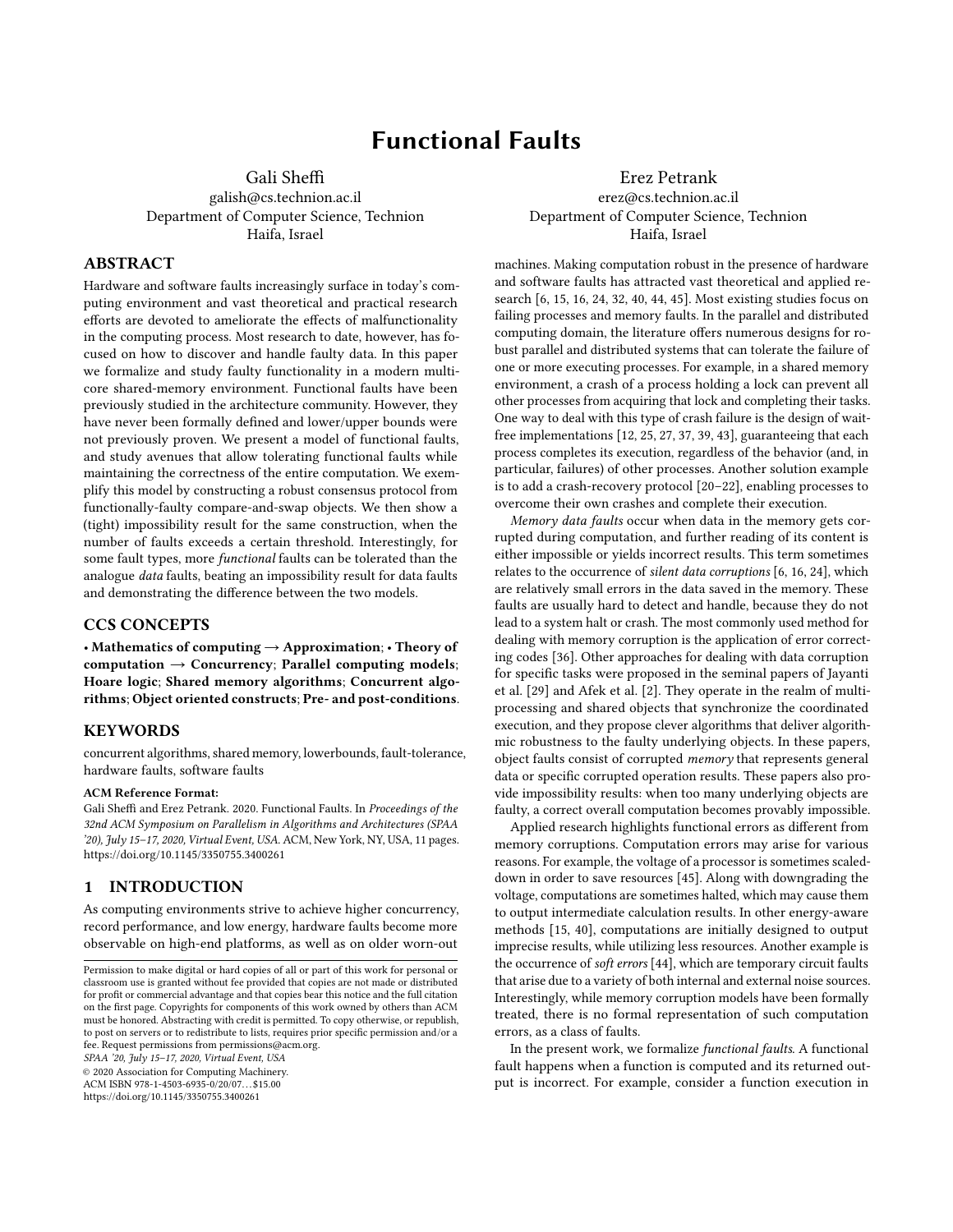# Functional Faults

Gali Sheffi

galish@cs.technion.ac.il Department of Computer Science, Technion Haifa, Israel

## ABSTRACT

Hardware and software faults increasingly surface in today's computing environment and vast theoretical and practical research efforts are devoted to ameliorate the effects of malfunctionality in the computing process. Most research to date, however, has focused on how to discover and handle faulty data. In this paper we formalize and study faulty functionality in a modern multicore shared-memory environment. Functional faults have been previously studied in the architecture community. However, they have never been formally defined and lower/upper bounds were not previously proven. We present a model of functional faults, and study avenues that allow tolerating functional faults while maintaining the correctness of the entire computation. We exemplify this model by constructing a robust consensus protocol from functionally-faulty compare-and-swap objects. We then show a (tight) impossibility result for the same construction, when the number of faults exceeds a certain threshold. Interestingly, for some fault types, more functional faults can be tolerated than the analogue data faults, beating an impossibility result for data faults and demonstrating the difference between the two models.

## CCS CONCEPTS

• Mathematics of computing  $\rightarrow$  Approximation; • Theory of computation  $\rightarrow$  Concurrency; Parallel computing models; Hoare logic; Shared memory algorithms; Concurrent algorithms; Object oriented constructs; Pre- and post-conditions.

#### **KEYWORDS**

concurrent algorithms, shared memory, lowerbounds, fault-tolerance, hardware faults, software faults

#### ACM Reference Format:

Gali Sheffi and Erez Petrank. 2020. Functional Faults. In Proceedings of the 32nd ACM Symposium on Parallelism in Algorithms and Architectures (SPAA '20), July 15-17, 2020, Virtual Event, USA. ACM, New York, NY, USA, [11](#page-10-0) pages. <https://doi.org/10.1145/3350755.3400261>

#### 1 INTRODUCTION

As computing environments strive to achieve higher concurrency, record performance, and low energy, hardware faults become more observable on high-end platforms, as well as on older worn-out

SPAA '20, July 15–17, 2020, Virtual Event, USA

© 2020 Association for Computing Machinery.

ACM ISBN 978-1-4503-6935-0/20/07. . . \$15.00 <https://doi.org/10.1145/3350755.3400261>

Erez Petrank erez@cs.technion.ac.il Department of Computer Science, Technion Haifa, Israel

machines. Making computation robust in the presence of hardware and software faults has attracted vast theoretical and applied research [\[6,](#page-10-1) [15,](#page-10-2) [16,](#page-10-3) [24,](#page-10-4) [32,](#page-10-5) [40,](#page-10-6) [44,](#page-10-7) [45\]](#page-10-8). Most existing studies focus on failing processes and memory faults. In the parallel and distributed computing domain, the literature offers numerous designs for robust parallel and distributed systems that can tolerate the failure of one or more executing processes. For example, in a shared memory environment, a crash of a process holding a lock can prevent all other processes from acquiring that lock and completing their tasks. One way to deal with this type of crash failure is the design of waitfree implementations [\[12,](#page-10-9) [25,](#page-10-10) [27,](#page-10-11) [37,](#page-10-12) [39,](#page-10-13) [43\]](#page-10-14), guaranteeing that each process completes its execution, regardless of the behavior (and, in particular, failures) of other processes. Another solution example is to add a crash-recovery protocol [\[20](#page-10-15)[–22\]](#page-10-16), enabling processes to overcome their own crashes and complete their execution.

Memory data faults occur when data in the memory gets corrupted during computation, and further reading of its content is either impossible or yields incorrect results. This term sometimes relates to the occurrence of silent data corruptions [\[6,](#page-10-1) [16,](#page-10-3) [24\]](#page-10-4), which are relatively small errors in the data saved in the memory. These faults are usually hard to detect and handle, because they do not lead to a system halt or crash. The most commonly used method for dealing with memory corruption is the application of error correcting codes [\[36\]](#page-10-17). Other approaches for dealing with data corruption for specific tasks were proposed in the seminal papers of Jayanti et al. [\[29\]](#page-10-18) and Afek et al. [\[2\]](#page-10-19). They operate in the realm of multiprocessing and shared objects that synchronize the coordinated execution, and they propose clever algorithms that deliver algorithmic robustness to the faulty underlying objects. In these papers, object faults consist of corrupted memory that represents general data or specific corrupted operation results. These papers also provide impossibility results: when too many underlying objects are faulty, a correct overall computation becomes provably impossible.

Applied research highlights functional errors as different from memory corruptions. Computation errors may arise for various reasons. For example, the voltage of a processor is sometimes scaleddown in order to save resources [\[45\]](#page-10-8). Along with downgrading the voltage, computations are sometimes halted, which may cause them to output intermediate calculation results. In other energy-aware methods [\[15,](#page-10-2) [40\]](#page-10-6), computations are initially designed to output imprecise results, while utilizing less resources. Another example is the occurrence of soft errors [\[44\]](#page-10-7), which are temporary circuit faults that arise due to a variety of both internal and external noise sources. Interestingly, while memory corruption models have been formally treated, there is no formal representation of such computation errors, as a class of faults.

In the present work, we formalize functional faults. A functional fault happens when a function is computed and its returned output is incorrect. For example, consider a function execution in

Permission to make digital or hard copies of all or part of this work for personal or classroom use is granted without fee provided that copies are not made or distributed for profit or commercial advantage and that copies bear this notice and the full citation on the first page. Copyrights for components of this work owned by others than ACM must be honored. Abstracting with credit is permitted. To copy otherwise, or republish, to post on servers or to redistribute to lists, requires prior specific permission and/or a fee. Request permissions from permissions@acm.org.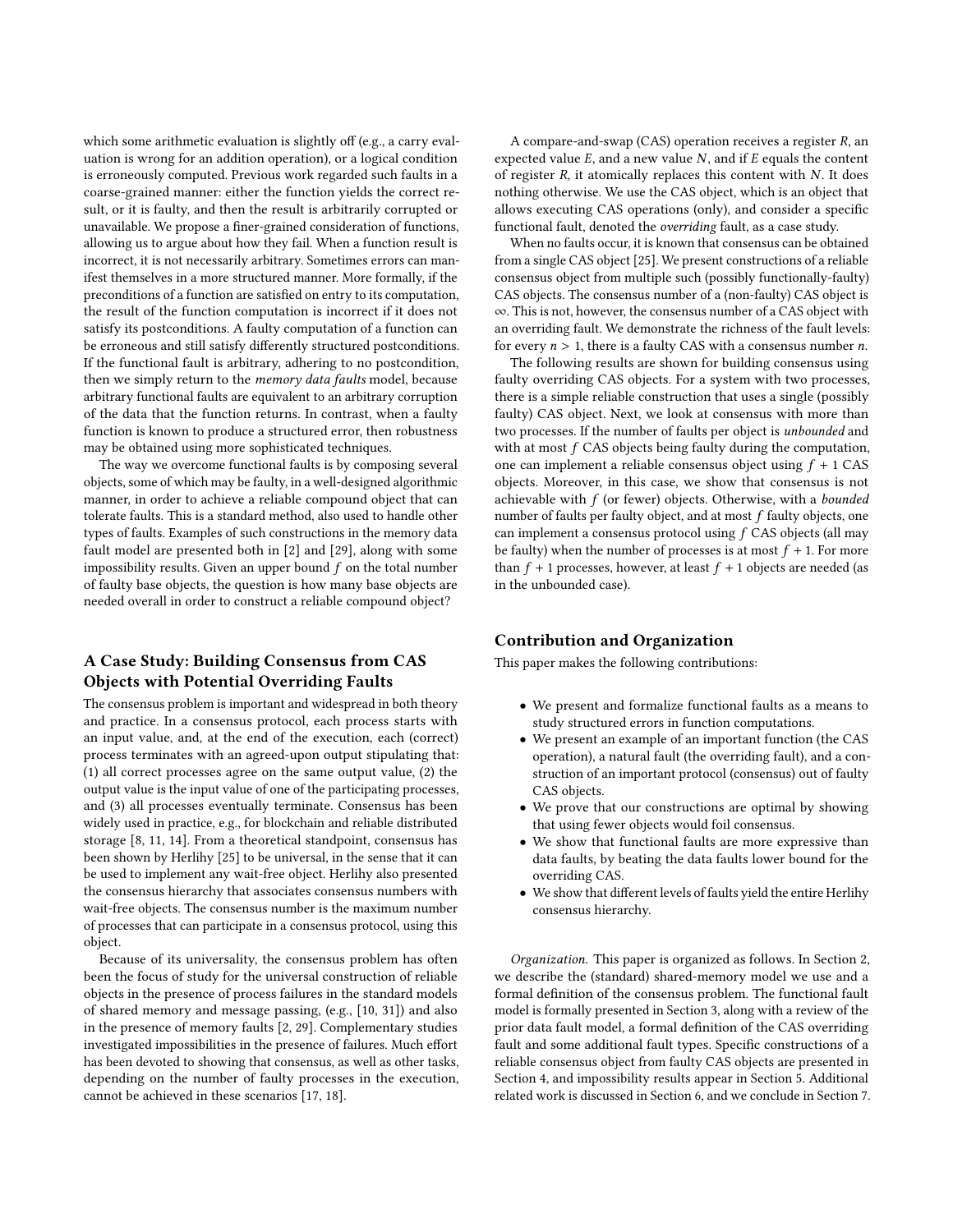which some arithmetic evaluation is slightly off (e.g., a carry evaluation is wrong for an addition operation), or a logical condition is erroneously computed. Previous work regarded such faults in a coarse-grained manner: either the function yields the correct result, or it is faulty, and then the result is arbitrarily corrupted or unavailable. We propose a finer-grained consideration of functions, allowing us to argue about how they fail. When a function result is incorrect, it is not necessarily arbitrary. Sometimes errors can manifest themselves in a more structured manner. More formally, if the preconditions of a function are satisfied on entry to its computation, the result of the function computation is incorrect if it does not satisfy its postconditions. A faulty computation of a function can be erroneous and still satisfy differently structured postconditions. If the functional fault is arbitrary, adhering to no postcondition, then we simply return to the *memory data faults* model, because arbitrary functional faults are equivalent to an arbitrary corruption of the data that the function returns. In contrast, when a faulty function is known to produce a structured error, then robustness may be obtained using more sophisticated techniques.

The way we overcome functional faults is by composing several objects, some of which may be faulty, in a well-designed algorithmic manner, in order to achieve a reliable compound object that can tolerate faults. This is a standard method, also used to handle other types of faults. Examples of such constructions in the memory data fault model are presented both in [\[2\]](#page-10-19) and [\[29\]](#page-10-18), along with some impossibility results. Given an upper bound  $f$  on the total number of faulty base objects, the question is how many base objects are needed overall in order to construct a reliable compound object?

# A Case Study: Building Consensus from CAS Objects with Potential Overriding Faults

The consensus problem is important and widespread in both theory and practice. In a consensus protocol, each process starts with an input value, and, at the end of the execution, each (correct) process terminates with an agreed-upon output stipulating that: (1) all correct processes agree on the same output value, (2) the output value is the input value of one of the participating processes, and (3) all processes eventually terminate. Consensus has been widely used in practice, e.g., for blockchain and reliable distributed storage [\[8,](#page-10-20) [11,](#page-10-21) [14\]](#page-10-22). From a theoretical standpoint, consensus has been shown by Herlihy [\[25\]](#page-10-10) to be universal, in the sense that it can be used to implement any wait-free object. Herlihy also presented the consensus hierarchy that associates consensus numbers with wait-free objects. The consensus number is the maximum number of processes that can participate in a consensus protocol, using this object.

Because of its universality, the consensus problem has often been the focus of study for the universal construction of reliable objects in the presence of process failures in the standard models of shared memory and message passing, (e.g., [\[10,](#page-10-23) [31\]](#page-10-24)) and also in the presence of memory faults [\[2,](#page-10-19) [29\]](#page-10-18). Complementary studies investigated impossibilities in the presence of failures. Much effort has been devoted to showing that consensus, as well as other tasks, depending on the number of faulty processes in the execution, cannot be achieved in these scenarios [\[17,](#page-10-25) [18\]](#page-10-26).

A compare-and-swap (CAS) operation receives a register R, an expected value  $E$ , and a new value  $N$ , and if  $E$  equals the content of register  $R$ , it atomically replaces this content with  $N$ . It does nothing otherwise. We use the CAS object, which is an object that allows executing CAS operations (only), and consider a specific functional fault, denoted the overriding fault, as a case study.

When no faults occur, it is known that consensus can be obtained from a single CAS object [\[25\]](#page-10-10). We present constructions of a reliable consensus object from multiple such (possibly functionally-faulty) CAS objects. The consensus number of a (non-faulty) CAS object is ∞. This is not, however, the consensus number of a CAS object with an overriding fault. We demonstrate the richness of the fault levels: for every  $n > 1$ , there is a faulty CAS with a consensus number *n*.

The following results are shown for building consensus using faulty overriding CAS objects. For a system with two processes, there is a simple reliable construction that uses a single (possibly faulty) CAS object. Next, we look at consensus with more than two processes. If the number of faults per object is unbounded and with at most  $f$  CAS objects being faulty during the computation, one can implement a reliable consensus object using  $f + 1$  CAS objects. Moreover, in this case, we show that consensus is not achievable with  $f$  (or fewer) objects. Otherwise, with a bounded number of faults per faulty object, and at most f faulty objects, one can implement a consensus protocol using f CAS objects (all may be faulty) when the number of processes is at most  $f + 1$ . For more than  $f + 1$  processes, however, at least  $f + 1$  objects are needed (as in the unbounded case).

# Contribution and Organization

This paper makes the following contributions:

- We present and formalize functional faults as a means to study structured errors in function computations.
- We present an example of an important function (the CAS operation), a natural fault (the overriding fault), and a construction of an important protocol (consensus) out of faulty CAS objects.
- We prove that our constructions are optimal by showing that using fewer objects would foil consensus.
- We show that functional faults are more expressive than data faults, by beating the data faults lower bound for the overriding CAS.
- We show that different levels of faults yield the entire Herlihy consensus hierarchy.

Organization. This paper is organized as follows. In Section [2,](#page-2-0) we describe the (standard) shared-memory model we use and a formal definition of the consensus problem. The functional fault model is formally presented in Section [3,](#page-2-1) along with a review of the prior data fault model, a formal definition of the CAS overriding fault and some additional fault types. Specific constructions of a reliable consensus object from faulty CAS objects are presented in Section [4,](#page-4-0) and impossibility results appear in Section [5.](#page-7-0) Additional related work is discussed in Section [6,](#page-9-0) and we conclude in Section [7.](#page-9-1)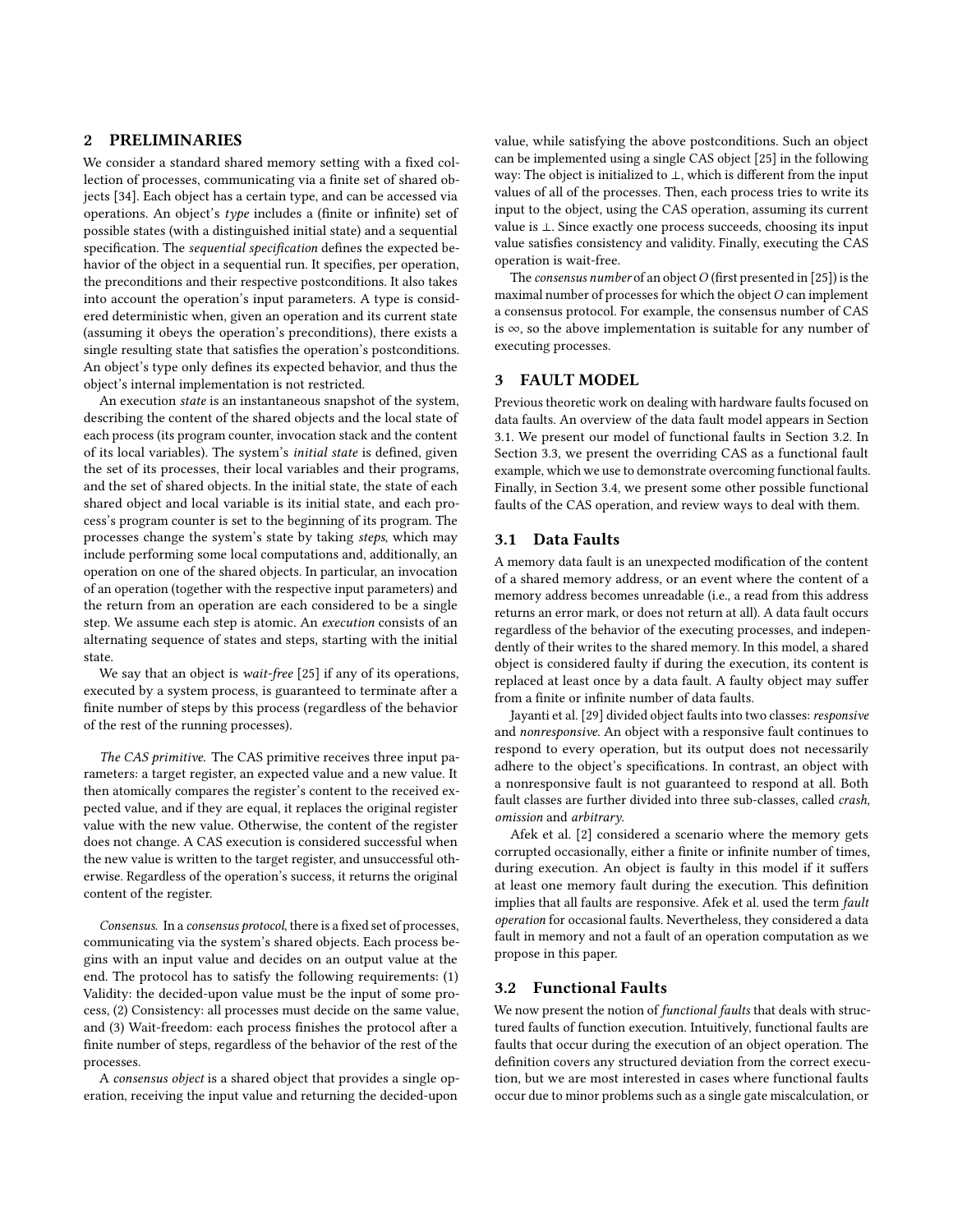## <span id="page-2-0"></span>2 PRELIMINARIES

We consider a standard shared memory setting with a fixed collection of processes, communicating via a finite set of shared objects [\[34\]](#page-10-27). Each object has a certain type, and can be accessed via operations. An object's type includes a (finite or infinite) set of possible states (with a distinguished initial state) and a sequential specification. The sequential specification defines the expected behavior of the object in a sequential run. It specifies, per operation, the preconditions and their respective postconditions. It also takes into account the operation's input parameters. A type is considered deterministic when, given an operation and its current state (assuming it obeys the operation's preconditions), there exists a single resulting state that satisfies the operation's postconditions. An object's type only defines its expected behavior, and thus the object's internal implementation is not restricted.

An execution *state* is an instantaneous snapshot of the system, describing the content of the shared objects and the local state of each process (its program counter, invocation stack and the content of its local variables). The system's initial state is defined, given the set of its processes, their local variables and their programs, and the set of shared objects. In the initial state, the state of each shared object and local variable is its initial state, and each process's program counter is set to the beginning of its program. The processes change the system's state by taking steps, which may include performing some local computations and, additionally, an operation on one of the shared objects. In particular, an invocation of an operation (together with the respective input parameters) and the return from an operation are each considered to be a single step. We assume each step is atomic. An execution consists of an alternating sequence of states and steps, starting with the initial state.

We say that an object is *wait-free* [\[25\]](#page-10-10) if any of its operations, executed by a system process, is guaranteed to terminate after a finite number of steps by this process (regardless of the behavior of the rest of the running processes).

The CAS primitive. The CAS primitive receives three input parameters: a target register, an expected value and a new value. It then atomically compares the register's content to the received expected value, and if they are equal, it replaces the original register value with the new value. Otherwise, the content of the register does not change. A CAS execution is considered successful when the new value is written to the target register, and unsuccessful otherwise. Regardless of the operation's success, it returns the original content of the register.

Consensus. In a consensus protocol, there is a fixed set of processes, communicating via the system's shared objects. Each process begins with an input value and decides on an output value at the end. The protocol has to satisfy the following requirements: (1) Validity: the decided-upon value must be the input of some process, (2) Consistency: all processes must decide on the same value, and (3) Wait-freedom: each process finishes the protocol after a finite number of steps, regardless of the behavior of the rest of the processes.

A consensus object is a shared object that provides a single operation, receiving the input value and returning the decided-upon

value, while satisfying the above postconditions. Such an object can be implemented using a single CAS object [\[25\]](#page-10-10) in the following way: The object is initialized to ⊥, which is different from the input values of all of the processes. Then, each process tries to write its input to the object, using the CAS operation, assuming its current value is ⊥. Since exactly one process succeeds, choosing its input value satisfies consistency and validity. Finally, executing the CAS operation is wait-free.

The consensus number of an object  $O$  (first presented in [\[25\]](#page-10-10)) is the maximal number of processes for which the object  $O$  can implement a consensus protocol. For example, the consensus number of CAS is ∞, so the above implementation is suitable for any number of executing processes.

## <span id="page-2-1"></span>3 FAULT MODEL

Previous theoretic work on dealing with hardware faults focused on data faults. An overview of the data fault model appears in Section [3.1.](#page-2-2) We present our model of functional faults in Section [3.2.](#page-2-3) In Section [3.3,](#page-3-0) we present the overriding CAS as a functional fault example, which we use to demonstrate overcoming functional faults. Finally, in Section [3.4,](#page-4-1) we present some other possible functional faults of the CAS operation, and review ways to deal with them.

## <span id="page-2-2"></span>3.1 Data Faults

A memory data fault is an unexpected modification of the content of a shared memory address, or an event where the content of a memory address becomes unreadable (i.e., a read from this address returns an error mark, or does not return at all). A data fault occurs regardless of the behavior of the executing processes, and independently of their writes to the shared memory. In this model, a shared object is considered faulty if during the execution, its content is replaced at least once by a data fault. A faulty object may suffer from a finite or infinite number of data faults.

Jayanti et al. [\[29\]](#page-10-18) divided object faults into two classes: responsive and nonresponsive. An object with a responsive fault continues to respond to every operation, but its output does not necessarily adhere to the object's specifications. In contrast, an object with a nonresponsive fault is not guaranteed to respond at all. Both fault classes are further divided into three sub-classes, called crash, omission and arbitrary.

Afek et al. [\[2\]](#page-10-19) considered a scenario where the memory gets corrupted occasionally, either a finite or infinite number of times, during execution. An object is faulty in this model if it suffers at least one memory fault during the execution. This definition implies that all faults are responsive. Afek et al. used the term fault operation for occasional faults. Nevertheless, they considered a data fault in memory and not a fault of an operation computation as we propose in this paper.

#### <span id="page-2-3"></span>3.2 Functional Faults

We now present the notion of *functional faults* that deals with structured faults of function execution. Intuitively, functional faults are faults that occur during the execution of an object operation. The definition covers any structured deviation from the correct execution, but we are most interested in cases where functional faults occur due to minor problems such as a single gate miscalculation, or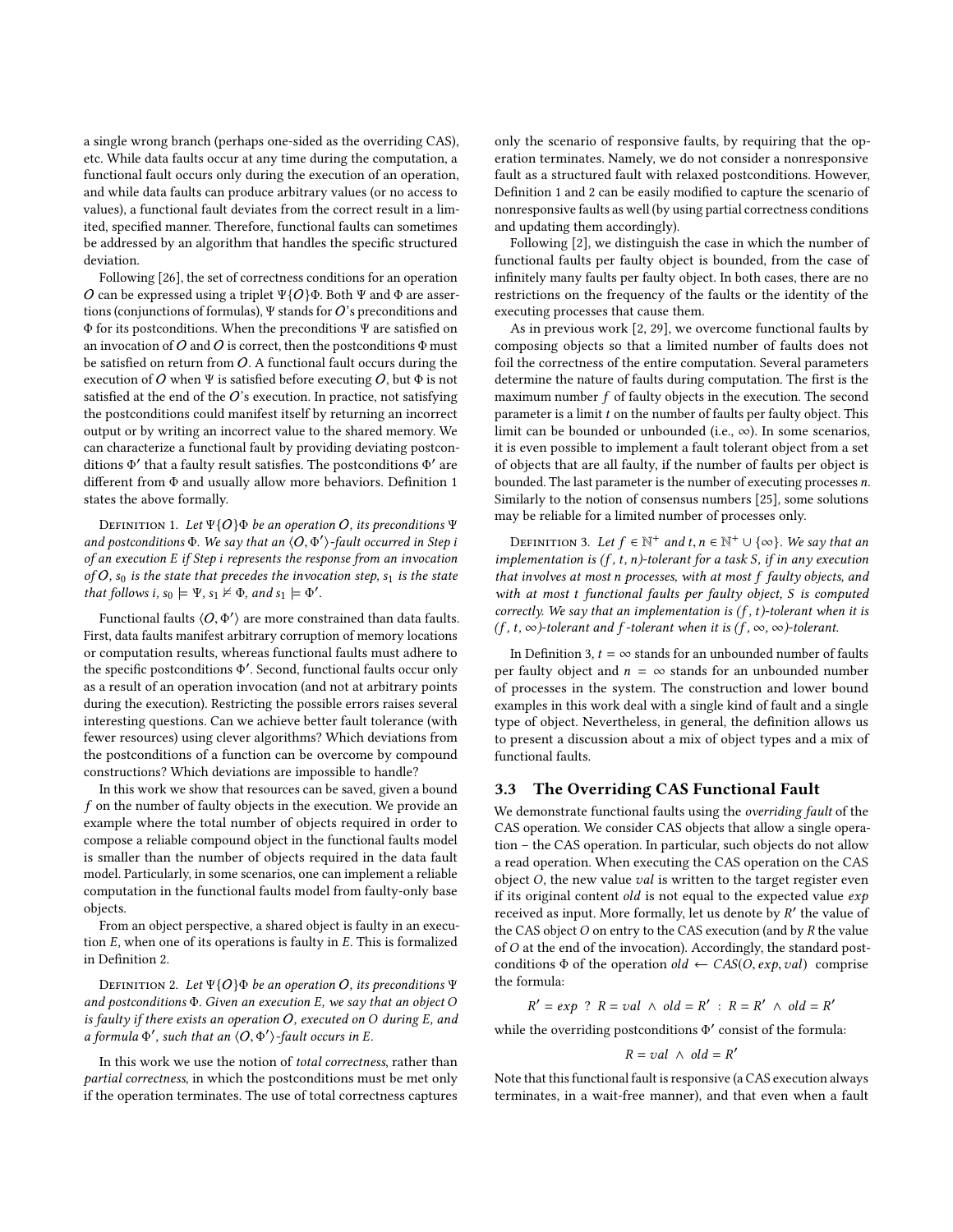a single wrong branch (perhaps one-sided as the overriding CAS), etc. While data faults occur at any time during the computation, a functional fault occurs only during the execution of an operation, and while data faults can produce arbitrary values (or no access to values), a functional fault deviates from the correct result in a limited, specified manner. Therefore, functional faults can sometimes be addressed by an algorithm that handles the specific structured deviation.

Following [\[26\]](#page-10-28), the set of correctness conditions for an operation O can be expressed using a triplet  $\Psi$ {O}Φ. Both Ψ and Φ are assertions (conjunctions of formulas),  $\Psi$  stands for  $O$ 's preconditions and Φ for its postconditions. When the preconditions Ψ are satisfied on an invocation of O and O is correct, then the postconditions  $\Phi$  must be satisfied on return from  $O$ . A functional fault occurs during the execution of O when Ψ is satisfied before executing  $O$ , but  $\Phi$  is not satisfied at the end of the  $O$ 's execution. In practice, not satisfying the postconditions could manifest itself by returning an incorrect output or by writing an incorrect value to the shared memory. We can characterize a functional fault by providing deviating postconditions Φ' that a faulty result satisfies. The postconditions Φ' are<br>different from Φ and usually allow more behaviors. Definition 1 different from Φ and usually allow more behaviors. Definition [1](#page-3-1) states the above formally.

<span id="page-3-1"></span>DEFINITION 1. Let  $\Psi{O} \Phi$  be an operation O, its preconditions  $\Psi$ and postconditions  $\Phi$ . We say that an  $\langle O, \Phi' \rangle$ -fault occurred in Step is an execution E if Step i represents the response from an invocation of an execution E if Step i represents the response from an invocation of O,  $s_0$  is the state that precedes the invocation step,  $s_1$  is the state that follows i,  $s_0 \models \Psi$ ,  $s_1 \not\vDash \Phi$ , and  $s_1 \models \Phi'$ .

Functional faults  $\langle O, \Phi' \rangle$  are more constrained than data faults. First, data faults manifest arbitrary corruption of memory locations or computation results, whereas functional faults must adhere to the specific postconditions  $\Phi'$ . Second, functional faults occur only<br>as a result of an operation invocation (and not at arbitrary points as a result of an operation invocation (and not at arbitrary points during the execution). Restricting the possible errors raises several interesting questions. Can we achieve better fault tolerance (with fewer resources) using clever algorithms? Which deviations from the postconditions of a function can be overcome by compound constructions? Which deviations are impossible to handle?

In this work we show that resources can be saved, given a bound f on the number of faulty objects in the execution. We provide an example where the total number of objects required in order to compose a reliable compound object in the functional faults model is smaller than the number of objects required in the data fault model. Particularly, in some scenarios, one can implement a reliable computation in the functional faults model from faulty-only base objects.

From an object perspective, a shared object is faulty in an execution  $E$ , when one of its operations is faulty in  $E$ . This is formalized in Definition [2.](#page-3-2)

<span id="page-3-2"></span>DEFINITION 2. Let  $\Psi\{O\} \Phi$  be an operation O, its preconditions  $\Psi$ and postconditions  $\Phi$ . Given an execution E, we say that an object O is faulty if there exists an operation  $O$ , executed on  $O$  during  $E$ , and a formula  $\Phi'$ , such that an  $\langle O, \Phi' \rangle$ -fault occurs in E.

In this work we use the notion of total correctness, rather than partial correctness, in which the postconditions must be met only if the operation terminates. The use of total correctness captures only the scenario of responsive faults, by requiring that the operation terminates. Namely, we do not consider a nonresponsive fault as a structured fault with relaxed postconditions. However, Definition [1](#page-3-1) and [2](#page-3-2) can be easily modified to capture the scenario of nonresponsive faults as well (by using partial correctness conditions and updating them accordingly).

Following [\[2\]](#page-10-19), we distinguish the case in which the number of functional faults per faulty object is bounded, from the case of infinitely many faults per faulty object. In both cases, there are no restrictions on the frequency of the faults or the identity of the executing processes that cause them.

As in previous work [\[2,](#page-10-19) [29\]](#page-10-18), we overcome functional faults by composing objects so that a limited number of faults does not foil the correctness of the entire computation. Several parameters determine the nature of faults during computation. The first is the maximum number f of faulty objects in the execution. The second parameter is a limit t on the number of faults per faulty object. This limit can be bounded or unbounded (i.e.,  $\infty$ ). In some scenarios, it is even possible to implement a fault tolerant object from a set of objects that are all faulty, if the number of faults per object is bounded. The last parameter is the number of executing processes n. Similarly to the notion of consensus numbers [\[25\]](#page-10-10), some solutions may be reliable for a limited number of processes only.

<span id="page-3-3"></span>DEFINITION 3. Let  $f \in \mathbb{N}^+$  and  $t, n \in \mathbb{N}^+ \cup \{\infty\}$ . We say that an obtained in the subset of the problem of  $s$  if in any execution implementation is  $(f, t, n)$ -tolerant for a task S, if in any execution that involves at most n processes, with at most f faulty objects, and with at most t functional faults per faulty object, S is computed correctly. We say that an implementation is  $(f, t)$ -tolerant when it is  $(f, t, \infty)$ -tolerant and f-tolerant when it is  $(f, \infty, \infty)$ -tolerant.

In Definition [3,](#page-3-3)  $t = \infty$  stands for an unbounded number of faults per faulty object and  $n = \infty$  stands for an unbounded number of processes in the system. The construction and lower bound examples in this work deal with a single kind of fault and a single type of object. Nevertheless, in general, the definition allows us to present a discussion about a mix of object types and a mix of functional faults.

## <span id="page-3-0"></span>3.3 The Overriding CAS Functional Fault

We demonstrate functional faults using the overriding fault of the CAS operation. We consider CAS objects that allow a single operation – the CAS operation. In particular, such objects do not allow a read operation. When executing the CAS operation on the CAS object  $O$ , the new value *val* is written to the target register even if its original content  $old$  is not equal to the expected value  $exp$ received as input. More formally, let us denote by  $R'$  the value of<br>the CAS object O on entry to the CAS execution (and by  $R$  the value the CAS object  $O$  on entry to the CAS execution (and by  $R$  the value of O at the end of the invocation). Accordingly, the standard postconditions  $\Phi$  of the operation  $old \leftarrow CAS(O, exp, val)$  comprise the formula:

 $y' = exp \begin{cases} ? & R = val \land old = R' : R = R' \land old = R' \end{cases}$ 

while the overriding postconditions  $\Phi'$  consist of the formula:

$$
R = val \ \land \ old = R'
$$

Note that this functional fault is responsive (a CAS execution always terminates, in a wait-free manner), and that even when a fault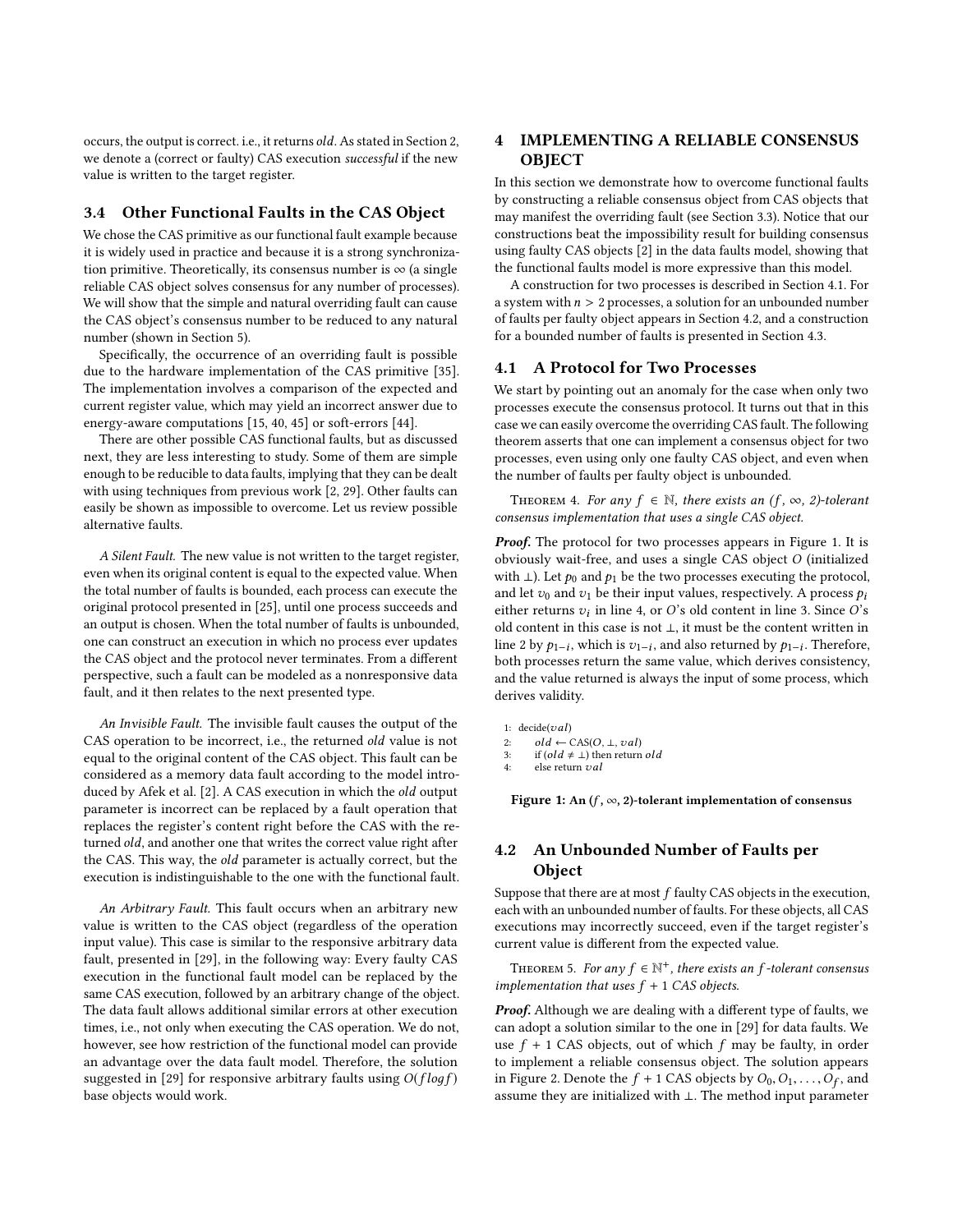occurs, the output is correct. i.e., it returns old. As stated in Section [2,](#page-2-0) we denote a (correct or faulty) CAS execution successful if the new value is written to the target register.

## <span id="page-4-1"></span>3.4 Other Functional Faults in the CAS Object

We chose the CAS primitive as our functional fault example because it is widely used in practice and because it is a strong synchronization primitive. Theoretically, its consensus number is  $\infty$  (a single reliable CAS object solves consensus for any number of processes). We will show that the simple and natural overriding fault can cause the CAS object's consensus number to be reduced to any natural number (shown in Section [5\)](#page-7-0).

Specifically, the occurrence of an overriding fault is possible due to the hardware implementation of the CAS primitive [\[35\]](#page-10-29). The implementation involves a comparison of the expected and current register value, which may yield an incorrect answer due to energy-aware computations [\[15,](#page-10-2) [40,](#page-10-6) [45\]](#page-10-8) or soft-errors [\[44\]](#page-10-7).

There are other possible CAS functional faults, but as discussed next, they are less interesting to study. Some of them are simple enough to be reducible to data faults, implying that they can be dealt with using techniques from previous work [\[2,](#page-10-19) [29\]](#page-10-18). Other faults can easily be shown as impossible to overcome. Let us review possible alternative faults.

A Silent Fault. The new value is not written to the target register, even when its original content is equal to the expected value. When the total number of faults is bounded, each process can execute the original protocol presented in [\[25\]](#page-10-10), until one process succeeds and an output is chosen. When the total number of faults is unbounded, one can construct an execution in which no process ever updates the CAS object and the protocol never terminates. From a different perspective, such a fault can be modeled as a nonresponsive data fault, and it then relates to the next presented type.

An Invisible Fault. The invisible fault causes the output of the CAS operation to be incorrect, i.e., the returned old value is not equal to the original content of the CAS object. This fault can be considered as a memory data fault according to the model introduced by Afek et al. [\[2\]](#page-10-19). A CAS execution in which the old output parameter is incorrect can be replaced by a fault operation that replaces the register's content right before the CAS with the returned old, and another one that writes the correct value right after the CAS. This way, the old parameter is actually correct, but the execution is indistinguishable to the one with the functional fault.

An Arbitrary Fault. This fault occurs when an arbitrary new value is written to the CAS object (regardless of the operation input value). This case is similar to the responsive arbitrary data fault, presented in [\[29\]](#page-10-18), in the following way: Every faulty CAS execution in the functional fault model can be replaced by the same CAS execution, followed by an arbitrary change of the object. The data fault allows additional similar errors at other execution times, i.e., not only when executing the CAS operation. We do not, however, see how restriction of the functional model can provide an advantage over the data fault model. Therefore, the solution suggested in [\[29\]](#page-10-18) for responsive arbitrary faults using  $O(f \log f)$ base objects would work.

# <span id="page-4-0"></span>4 IMPLEMENTING A RELIABLE CONSENSUS **OBIECT**

In this section we demonstrate how to overcome functional faults by constructing a reliable consensus object from CAS objects that may manifest the overriding fault (see Section [3.3\)](#page-3-0). Notice that our constructions beat the impossibility result for building consensus using faulty CAS objects [\[2\]](#page-10-19) in the data faults model, showing that the functional faults model is more expressive than this model.

A construction for two processes is described in Section [4.1.](#page-4-2) For a system with  $n > 2$  processes, a solution for an unbounded number of faults per faulty object appears in Section [4.2,](#page-4-3) and a construction for a bounded number of faults is presented in Section [4.3.](#page-5-0)

## <span id="page-4-2"></span>4.1 A Protocol for Two Processes

We start by pointing out an anomaly for the case when only two processes execute the consensus protocol. It turns out that in this case we can easily overcome the overriding CAS fault. The following theorem asserts that one can implement a consensus object for two processes, even using only one faulty CAS object, and even when the number of faults per faulty object is unbounded.

THEOREM 4. For any  $f \in \mathbb{N}$ , there exists an  $(f, \infty, 2)$ -tolerant consensus implementation that uses a single CAS object.

Proof. The protocol for two processes appears in Figure [1.](#page-4-4) It is obviously wait-free, and uses a single CAS object O (initialized with  $\perp$ ). Let  $p_0$  and  $p_1$  be the two processes executing the protocol, and let  $v_0$  and  $v_1$  be their input values, respectively. A process  $p_i$ either returns  $v_i$  in line [4,](#page-4-4) or O's old content in line [3.](#page-4-4) Since O's old content in this case is not  $\perp$  if must be the content written in old content in this case is not ⊥, it must be the content written in line [2](#page-4-4) by  $p_{1-i}$ , which is  $v_{1-i}$ , and also returned by  $p_{1-i}$ . Therefore, both processes return the same value, which derives consistency both processes return the same value, which derives consistency, and the value returned is always the input of some process, which derives validity.

<span id="page-4-4"></span>1: decide(*val*)<br>2:  $old \leftarrow 0$ 

2:  $old \leftarrow CAS(O, \perp, val)$ <br>3: if  $old \neq \perp)$  then return

```
3: if \left( old \neq \bot \right) then return old<br>4: else return val
```
else return  $val$ 

Figure 1: An  $(f, \infty, 2)$ -tolerant implementation of consensus

## <span id="page-4-3"></span>4.2 An Unbounded Number of Faults per Object

Suppose that there are at most  $f$  faulty CAS objects in the execution, each with an unbounded number of faults. For these objects, all CAS executions may incorrectly succeed, even if the target register's current value is different from the expected value.

THEOREM 5. For any  $f \in \mathbb{N}^+$ , there exists an f-tolerant consensus<br>plementation that uses  $f + 1$  CAS objects implementation that uses  $f + 1$  CAS objects.

Proof. Although we are dealing with a different type of faults, we can adopt a solution similar to the one in [\[29\]](#page-10-18) for data faults. We use  $f + 1$  CAS objects, out of which  $f$  may be faulty, in order to implement a reliable consensus object. The solution appears in Figure [2.](#page-5-1) Denote the  $f + 1$  CAS objects by  $O_0, O_1, \ldots, O_f$ , and assume they are initialized with  $\perp$ . The method input parameter assume they are initialized with ⊥. The method input parameter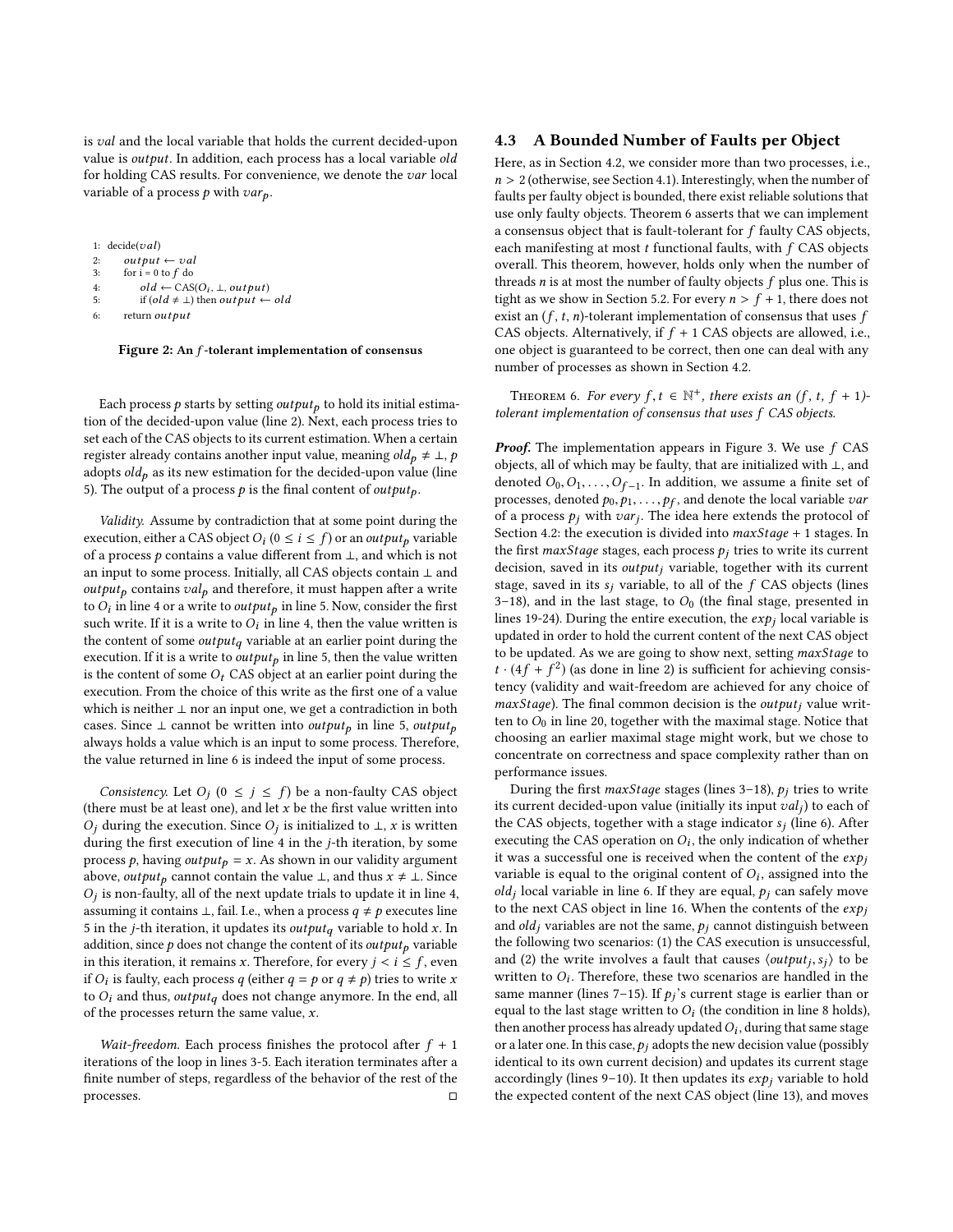is val and the local variable that holds the current decided-upon value is *output*. In addition, each process has a local variable old for holding CAS results. For convenience, we denote the var local variable of a process  $p$  with  $var_p$ .

<span id="page-5-1"></span>

|    | 1: $decide(val)$                                                              |
|----|-------------------------------------------------------------------------------|
| 2: | $output \leftarrow val$                                                       |
| 3: | for $i = 0$ to $f$ do                                                         |
| 4: | $old \leftarrow CAS(O_i, \perp, output)$                                      |
| 5: | if $\left( old \neq \bot \right)$ then <i>out put</i> $\leftarrow$ <i>old</i> |
| 6: | return output                                                                 |

Figure 2: An f-tolerant implementation of consensus

Each process  $p$  starts by setting *output*<sub>p</sub> to hold its initial estimation of the decided-upon value (line [2\)](#page-5-1). Next, each process tries to set each of the CAS objects to its current estimation. When a certain register already contains another input value, meaning  $old_p \neq \bot$ , p adopts  $old<sub>p</sub>$  as its new estimation for the decided-upon value (line [5\)](#page-5-1). The output of a process  $p$  is the final content of *output*<sub>p</sub>.

Validity. Assume by contradiction that at some point during the execution, either a CAS object  $O_i$  ( $0 \le i \le f$ ) or an *output<sub>p</sub>* variable of a process a contains a value different from  $\perp$  and which is not of a process  $p$  contains a value different from  $\bot$ , and which is not an input to some process. Initially, all CAS objects contain ⊥ and  $output_p$  contains  $val_p$  and therefore, it must happen after a write to  $\hat{O}_i$  in line [4](#page-5-1) or a write to *output<sub>p</sub>* in line [5.](#page-5-1) Now, consider the first<br>such write If it is a write to  $\hat{O}_i$  in line 4, then the value written is such write. If it is a write to  $\hat{O}_i$  in line [4,](#page-5-1) then the value written is<br>the content of some *output*, variable at an earlier point during the the content of some  $output_q$  variable at an earlier point during the execution. If it is a write to  $output_p$  in line [5,](#page-5-1) then the value written is the content of some  $O_t$  CAS object at an earlier point during the execution. From the choice of this write as the first one of a value which is neither ⊥ nor an input one, we get a contradiction in both cases. Since ⊥ cannot be written into *output*<sub>p</sub> in line [5,](#page-5-1) *output*<sub>p</sub> always holds a value which is an input to some process. Therefore, the value returned in line [6](#page-5-1) is indeed the input of some process.

Consistency. Let  $O_j$   $(0 \le j \le f)$  be a non-faulty CAS object<br>erg must be at least one) and let x be the first value written into (there must be at least one), and let  $x$  be the first value written into  $\hat{O}_j$  during the execution. Since  $O_j$  is initialized to  $\perp$ , x is written during the first execution of line 4 in the *i*-th iteration, by some during the first execution of line [4](#page-5-1) in the j-th iteration, by some process p, having output<sub>p</sub> = x. As shown in our validity argument above, *output*<sub>p</sub> cannot contain the value  $\bot$ , and thus  $x \neq \bot$ . Since  $\frac{1}{2}$  assuming it contains ⊥, fail. I.e., when a process  $q \neq p$  executes line<br>5 in the *i*-th iteration, it undetes its *output*, variable to hold x. In  $O_i$  is non-faulty, all of the next update trials to update it in line [4,](#page-5-1) [5](#page-5-1) in the  $j\text{-th}$  iteration, it updates its  $output_q$  variable to hold  $x.$  In addition, since  $p$  does not change the content of its *output*<sub>p</sub> variable in this iteration, it remains x. Therefore, for every  $j < i \leq f$ , even if  $O_i$  is faulty, each process q (either  $q = p$  or  $q \neq p$ ) tries to write x<br>to  $O_i$  and thus quitaut, does not change anymore. In the end, all to  $O_i$  and thus, output<sub>q</sub> does not change anymore. In the end, all of the processes return the same value,  $x$ .

Wait-freedom. Each process finishes the protocol after  $f + 1$ iterations of the loop in lines [3-5.](#page-5-1) Each iteration terminates after a finite number of steps, regardless of the behavior of the rest of the processes.

## <span id="page-5-0"></span>4.3 A Bounded Number of Faults per Object

Here, as in Section [4.2,](#page-4-3) we consider more than two processes, i.e.,  $n > 2$  (otherwise, see Section [4.1\)](#page-4-2). Interestingly, when the number of faults per faulty object is bounded, there exist reliable solutions that use only faulty objects. Theorem [6](#page-5-2) asserts that we can implement a consensus object that is fault-tolerant for  $f$  faulty CAS objects, each manifesting at most  $t$  functional faults, with  $f$  CAS objects overall. This theorem, however, holds only when the number of threads  $n$  is at most the number of faulty objects  $f$  plus one. This is tight as we show in Section [5.2.](#page-8-0) For every  $n > f + 1$ , there does not exist an  $(f, t, n)$ -tolerant implementation of consensus that uses  $f$ CAS objects. Alternatively, if  $f + 1$  CAS objects are allowed, i.e., one object is guaranteed to be correct, then one can deal with any number of processes as shown in Section [4.2.](#page-4-3)

<span id="page-5-2"></span>THEOREM 6. For every  $f, t \in \mathbb{N}^+$ , there exists an  $(f, t, f + 1)$ -<br>exant implementation of consensus that uses  $f, CAS$  objects tolerant implementation of consensus that uses f CAS objects.

**Proof.** The implementation appears in Figure [3.](#page-6-0) We use  $f$  CAS objects, all of which may be faulty, that are initialized with ⊥, and denoted  $O_0, O_1, \ldots, O_{f-1}$ . In addition, we assume a finite set of processes denoted  $p_0, p_1, \ldots, p_{f-1}$  and denote the local variable zign processes, denoted  $p_0, p_1, \ldots, p_f$ , and denote the local variable variable variable variable variable variable variable variable variable variable variable variable variable variable variable variable variable variable v of a process  $p_j$  with  $var_j$ . The idea here extends the protocol of Section 4.2; the execution is divided into  $maxSizea + 1$  stages. In Section [4.2:](#page-4-3) the execution is divided into  $maxStage + 1$  stages. In the first maxStage stages, each process  $p_i$  tries to write its current decision, saved in its  $output_i$  variable, together with its current stage, saved in its  $s_i$  variable, to all of the  $f$  CAS objects (lines [3–18\)](#page-6-0), and in the last stage, to  $O_0$  (the final stage, presented in lines [19-24\)](#page-6-0). During the entire execution, the  $exp<sub>j</sub>$  local variable is updated in order to hold the current content of the next CAS object to be updated. As we are going to show next, setting maxStaдe to  $t \cdot (4f + f^2)$  (as done in line [2\)](#page-6-0) is sufficient for achieving consistency (validity and wait-freedom are achieved for any choice of tency (validity and wait-freedom are achieved for any choice of  $maxStage$ ). The final common decision is the *output<sub>i</sub>* value written to  $O_0$  in line [20,](#page-6-0) together with the maximal stage. Notice that choosing an earlier maximal stage might work, but we chose to concentrate on correctness and space complexity rather than on performance issues.

During the first maxStage stages (lines 3-18),  $p_j$  tries to write its current decided-upon value (initially its input  $val_j$ ) to each of<br>the CAS objects, together with a stage indicator  $\epsilon$ ; (line 6), After the CAS objects, together with a stage indicator  $s_j$  (line [6\)](#page-6-0). After executing the CAS operation on  $\Omega$ : the only indication of whether executing the CAS operation on  $O_i$ , the only indication of whether<br>it was a successful one is received when the content of the exp it was a successful one is received when the content of the  $exp<sub>i</sub>$ variable is equal to the original content of  $O_i$ , assigned into the old local variable in line 6. If they are equal,  $\rho_i$  can safely move Following the next CAS object in line [16.](#page-6-0) When the contents of the exp<sub>j</sub> and *ald*, variables are not the same  $\Delta$ , cannot distinguish between  $old<sub>j</sub>$  local variable in line [6.](#page-6-0) If they are equal,  $p<sub>j</sub>$  can safely move and  $old<sub>j</sub>$  variables are not the same,  $p<sub>j</sub>$  cannot distinguish between the following two scenarios: (1) the CAS execution is unsuccessful, and (2) the write involves a fault that causes  $\langle output_j, s_j \rangle$  to be written to  $\Omega$ . Therefore, these two scenarios are handled in the written to  $O_i$ . Therefore, these two scenarios are handled in the same manner (lines 7–15). If  $\rho$ ,'s current stage is earlier than or same manner (lines [7–15\)](#page-6-0). If  $p_j$ 's current stage is earlier than or equal to the last stage written to  $\Omega$ . (the condition in line 8 holds) equal to the last stage written to  $O_i$  (the condition in line [8](#page-6-0) holds), then another process has already undated  $O_i$ , during that same stage then another process has already updated  $O_i$ , during that same stage<br>or a later one. In this case,  $\rho_i$  adopts the new decision value (possibly or a later one. In this case,  $p_j$  adopts the new decision value (possibly identical to its own current decision) and updates its current stage accordingly (lines 9-10). It then updates its  $exp<sub>j</sub>$  variable to hold the expected content of the next CAS object (line [13\)](#page-6-0), and moves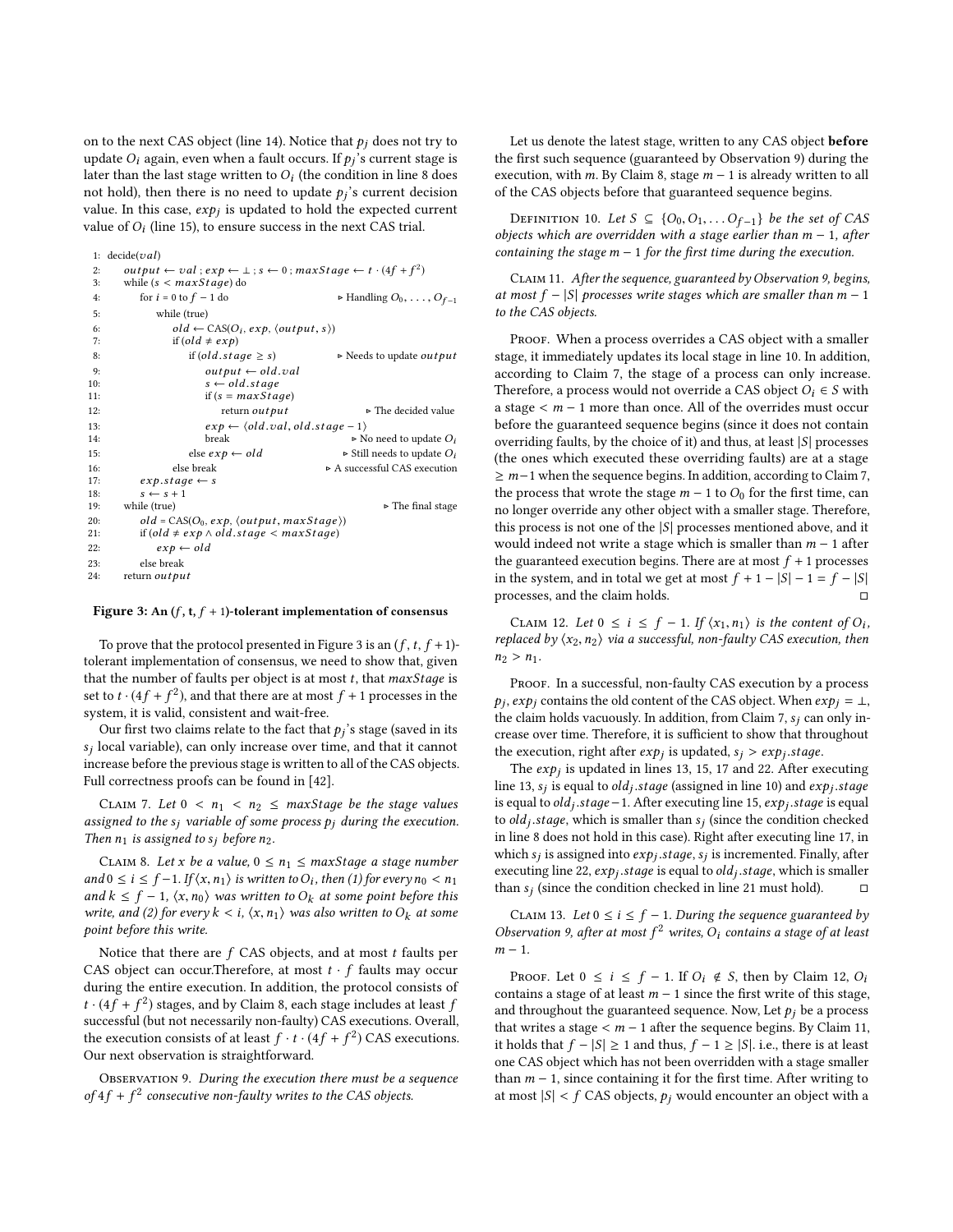on to the next CAS object (line [14\)](#page-6-0). Notice that  $p_i$  does not try to update  $O_i$  again, even when a fault occurs. If  $p_j$ 's current stage is later than the last stage written to  $O_i$  (the condition in line [8](#page-6-0) does<br>not hold), then there is no need to undate  $n$ 's current decision not hold), then there is no need to update  $p_j$ 's current decision<br>value. In this case, exp. is updated to hold the expected current value. In this case,  $exp_j$  is updated to hold the expected current<br>value of  $O$ : (line 15), to ensure success in the next  $C$  4S trial value of  $O_i$  (line [15\)](#page-6-0), to ensure success in the next CAS trial.

```
1: decide(val)<br>2: output2: output \leftarrow val; exp \leftarrow \bot; s \leftarrow 0; maxStage \leftarrow t \cdot (4f + f^2)<br>3: while (s \leftarrow maxStage) do
  3: while (s < maxStage) do<br>4: for i = 0 to f - 1 do
  4: for i = 0 to f - 1 do \rightarrow Handling O_0, \ldots, O_{f-1}<br>5:
                     while (true)
  6: old \leftarrow CAS(O_i, exp, \langle output, s \rangle)<br>7. if (old \neq exp)7: if (old \neq exp)<br>8: if (old-stage \geq s)8: \text{if } (old.shape \ge s) \rightarrow \text{Needs to update output}<br>9: \text{output} \leftarrow old.val9: output \leftarrow old.val<br>10: s \leftarrow old stage10: s \leftarrow old, stage<br>11: if (s = maxSta)11: if (s = maxStage)<br>12: return output12: return out put \triangleright The decided value
 13: exp \leftarrow \langle old.val, old.state - 1 \rangle<br>14. hreak by N
14: break <br>
break <br>
break <br>
break <br>
break <br>
break <br>
break <br>
break <br>
break <br>
break <br>
break <br>
break <br>
break <br>
break <br>
break <br>
break <br>
break <br>
break <br>
break <br>
break <br>
break <br>
break <br>
break <br>
break <br>
break <br>
break <br>
break <br>
b
15: else exp \leftarrow old
→ Still needs to update O_i<br>16: else break
→ A successful CAS execution
16: else break \triangleright A successful CAS execution 17: \cdot exp. stage \leftarrow s
17: exp.sizege \leftarrow s<br>18: s \leftarrow s + 119: while (true)
 19: while (true) \triangleright The final stage
 20: old = CAS(O_0, exp, \langle output, maxStage \rangle)<br>
21: if (old \neq exp \land old{std}.stage < maxStage)22: \exp \leftarrow old<br>
23: else break
                else break
24: return out put
```
Figure 3: An  $(f, t, f + 1)$ -tolerant implementation of consensus

To prove that the protocol presented in Figure [3](#page-6-0) is an  $(f, t, f+1)$ tolerant implementation of consensus, we need to show that, given that the number of faults per object is at most  $t$ , that  $maxStage$  is set to  $t \cdot (4f + f^2)$ , and that there are at most  $f + 1$  processes in the system it is valid consistent and wait-free system, it is valid, consistent and wait-free.

Our first two claims relate to the fact that  $p_j$ 's stage (saved in its local variable), can only increase over time, and that it cannot sj increase before the previous stage is written to all of the CAS objects.  $s_i$  local variable), can only increase over time, and that it cannot Full correctness proofs can be found in [\[42\]](#page-10-30).

<span id="page-6-3"></span>CLAIM 7. Let  $0 < n_1 < n_2 \leq$  maxStage be the stage values assigned to the  $s_j$  variable of some process  $p_j$  during the execution. Then  $n_1$  is assigned to  $s_j$  before  $n_2$ .

<span id="page-6-1"></span>CLAIM 8. Let x be a value,  $0 \le n_1 \le \text{maxStage}$  a stage number and  $0 \le i \le f-1$ . If  $\langle x, n_1 \rangle$  is written to  $O_i$ , then (1) for every  $n_0 < n_1$ <br>and  $k \le f-1$ ,  $\langle x, n_2 \rangle$  was written to  $O_i$ , at some point hefore this and  $k \le f - 1$ ,  $\langle x, n_0 \rangle$  was written to  $O_k$  at some point before this write, and (2) for every  $k < i$ ,  $\langle x, n_1 \rangle$  was also written to  $O_k$  at some point before this write.

Notice that there are  $f$  CAS objects, and at most  $t$  faults per CAS object can occur.Therefore, at most  $t \cdot f$  faults may occur during the entire execution. In addition, the protocol consists of  $t \cdot (4f + f^2)$  stages, and by Claim [8,](#page-6-1) each stage includes at least f<br>successful (but not necessarily non-faulty) CAS executions. Overall successful (but not necessarily non-faulty) CAS executions. Overall, the execution consists of at least  $f \cdot t \cdot (4f + f^2)$  CAS executions. Our next observation is straightforward.

<span id="page-6-2"></span>OBSERVATION 9. During the execution there must be a sequence of  $4f + f^2$  consecutive non-faulty writes to the CAS objects.

Let us denote the latest stage, written to any CAS object **before** the first such sequence (guaranteed by Observation [9\)](#page-6-2) during the execution, with m. By Claim [8,](#page-6-1) stage  $m - 1$  is already written to all of the CAS objects before that guaranteed sequence begins.

DEFINITION 10. Let  $S \subseteq \{O_0, O_1, \ldots O_{f-1}\}$  be the set of CAS objects which are overridden with a stage earlier than  $m - 1$ , after containing the stage  $m - 1$  for the first time during the execution.

<span id="page-6-5"></span>Claim 11. After the sequence, guaranteed by Observation [9,](#page-6-2) begins, at most  $f - |S|$  processes write stages which are smaller than  $m - 1$ to the CAS objects.

PROOF. When a process overrides a CAS object with a smaller stage, it immediately updates its local stage in line [10.](#page-6-0) In addition, according to Claim [7,](#page-6-3) the stage of a process can only increase. Therefore, a process would not override a CAS object  $O_i \in S$  with a stage < m <sup>−</sup> <sup>1</sup> more than once. All of the overrides must occur before the guaranteed sequence begins (since it does not contain overriding faults, by the choice of it) and thus, at least  $|S|$  processes (the ones which executed these overriding faults) are at a stage  $\geq m-1$  when the sequence begins. In addition, according to Claim [7,](#page-6-3) the process that wrote the stage  $m - 1$  to  $O_0$  for the first time, can no longer override any other object with a smaller stage. Therefore, this process is not one of the  $|S|$  processes mentioned above, and it would indeed not write a stage which is smaller than  $m - 1$  after the guaranteed execution begins. There are at most  $f + 1$  processes in the system, and in total we get at most  $f + 1 - |S| - 1 = f - |S|$ <br>processes and the claim holds processes, and the claim holds.

<span id="page-6-4"></span>CLAIM 12. Let  $0 \le i \le f - 1$ . If  $\langle x_1, n_1 \rangle$  is the content of  $O_i$ ,<br>placed by  $\langle x_2, n_2 \rangle$  yie a successful non-faulty CAS execution, then replaced by  $\langle x_2, n_2 \rangle$  via a successful, non-faulty CAS execution, then  $n_2 > n_1$ .

PROOF. In a successful, non-faulty CAS execution by a process  $\mu$ <sub>1</sub>,  $\mu$ <sub>1</sub>,  $\mu$ <sub>1</sub>,  $\mu$ <sub>1</sub>,  $\mu$ <sub>1</sub>,  $\mu$ <sub>1</sub>,  $\mu$ <sub>1</sub>,  $\mu$ <sub>1</sub>,  $\mu$ <sub>1</sub>,  $\mu$ <sub>1</sub>,  $\mu$ <sub>1</sub>,  $\mu$ <sub>1</sub>,  $\mu$ <sub>1</sub>,  $\mu$ <sub>1</sub>,  $\mu$ <sub>1</sub>,  $\mu$ <sub>1</sub>,  $\mu$ <sub>1</sub>,  $\mu$ <sub>1</sub>,  $\mu$ <sub>1</sub>,  $\mu$ <sub>1</sub>,  $\mu$ <sub>1</sub>,  $\mu$ <sub>1</sub>,  $\mu$ <sub>1</sub>,  $\mu$ <sub>1</sub>,  $\mu$ <sub></sub>  $p_i$ ,  $exp_i$  contains the old content of the CAS object. When  $exp_i = \perp$ , crease over time. Therefore, it is sufficient to show that throughout the execution, right after  $exp_j$  is updated,  $s_j > exp_j$ . stage.<br>The exp; is updated in lines 13, 15, 17 and 22. After ex-

The *exp<sub>j</sub>* is updated in lines [13, 15, 17](#page-6-0) and [22.](#page-6-0) After executing  $e^{13}$  s: is equal to  $old$ , stage (assigned in line 10) and exp. stage line [13,](#page-6-0) s<sub>j</sub> is equal to *old<sub>j</sub>*.stage (assigned in line [10\)](#page-6-0) and exp<sub>j</sub><br>is equal to old, stage = 1. After executing line 15, exp, stage is  $\frac{1}{100}$  is equal to old<sub>j</sub>.stage−1. After executing line [15,](#page-6-0) *exp<sub>j</sub>*.stage is equal<br>to old, stage which is emaller than s, (since the condition checked to  $old_j$  stage, which is smaller than  $s_j$  (since the condition checked<br>in line 8 does not hold in this case). Bight after executing line 17 in in line [8](#page-6-0) does not hold in this case). Right after executing line [17,](#page-6-0) in which  $s_j$  is assigned into  $exp_j$ , stage,  $s_j$  is incremented. Finally, after executing line 22, exp. stage is equal to old, stage which is smaller executing line [22,](#page-6-0)  $exp_j$ , stage is equal to old<sub>j</sub>, stage, which is smaller<br>than s, (since the condition checked in line 21 must hold) than  $s_j$  (since the condition checked in line [21](#page-6-0) must hold).  $\Box$ 

<span id="page-6-6"></span>CLAIM 13. Let  $0 \le i \le f - 1$ . During the sequence guaranteed by Observation [9,](#page-6-2) after at most  $f^2$  writes,  $O_i$  contains a stage of at least  $m-1$  $m-1$ .

PROOF. Let  $0 \le i \le f - 1$ . If  $O_i \notin S$ , then by Claim [12,](#page-6-4)  $O_i$ contains a stage of at least  $m - 1$  since the first write of this stage, and throughout the guaranteed sequence. Now, Let  $p_i$  be a process that writes a stage  $\lt m$  − 1 after the sequence begins. By Claim [11,](#page-6-5) it holds that  $f - |S| \ge 1$  and thus,  $f - 1 \ge |S|$ . i.e., there is at least one CAS object which has not been overridden with a stage smaller than  $m - 1$ , since containing it for the first time. After writing to at most  $|S| < f$  CAS objects,  $p_j$  would encounter an object with a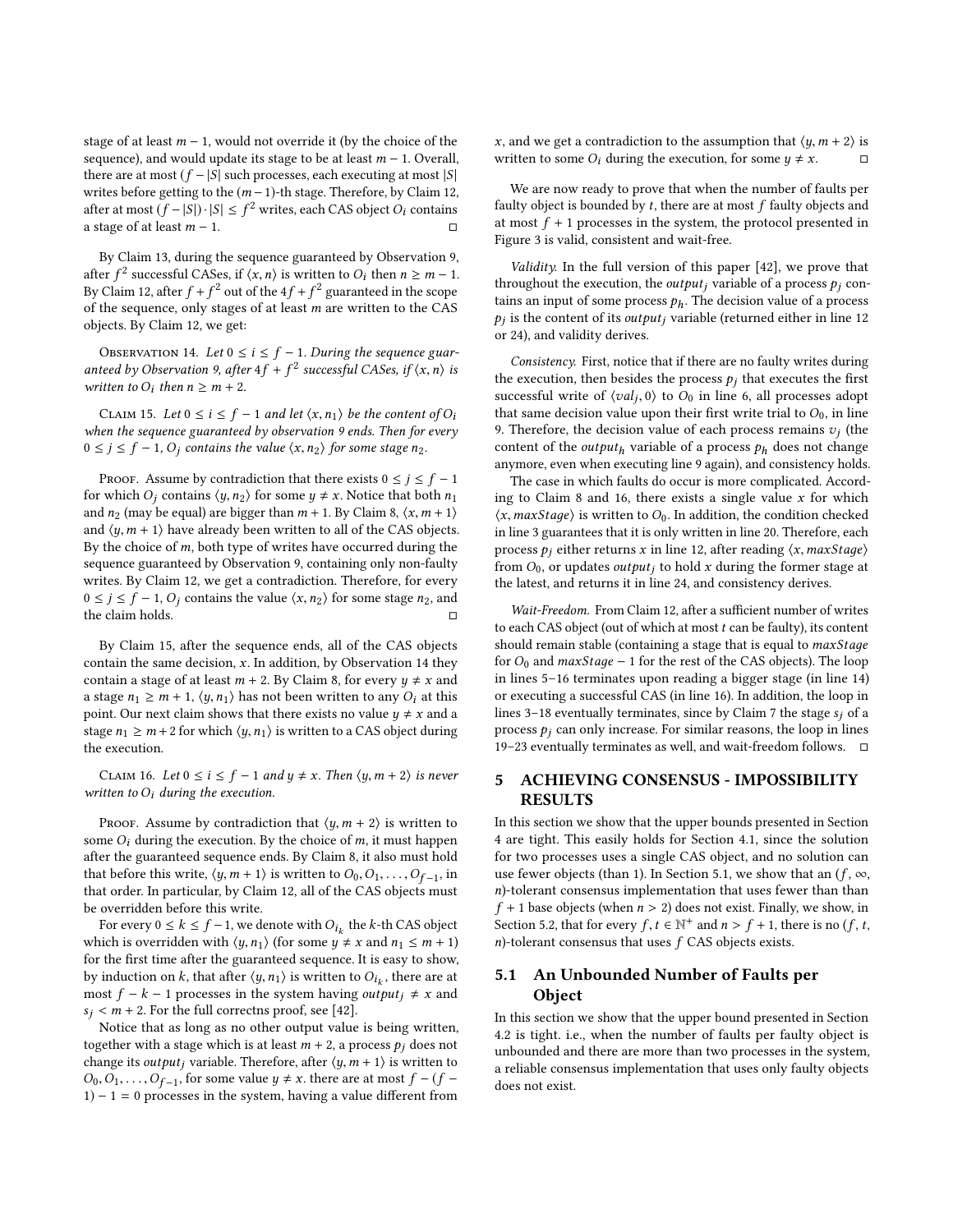stage of at least  $m - 1$ , would not override it (by the choice of the sequence), and would update its stage to be at least  $m - 1$ . Overall, there are at most  $(f - |S|)$  such processes, each executing at most  $|S|$ writes before getting to the  $(m-1)$ -th stage. Therefore, by Claim [12,](#page-6-4) after at most  $(f-|S|) \cdot |S| \leq f^2$  writes, each CAS object O<sub>i</sub> contains a stage of at least  $m - 1$ . □

By Claim [13,](#page-6-6) during the sequence guaranteed by Observation [9,](#page-6-2) after  $f^2$  successful CASes, if  $\langle x, n \rangle$  is written to  $O_i$  then  $n \ge m-1$ .<br>By Claim 12, after  $f + f^2$  out of the  $4f + f^2$  surranteed in the scope By Claim [12,](#page-6-4) after  $f + f^2$  out of the  $4f + f^2$  guaranteed in the scope<br>of the sequence only stages of at least m are written to the CAS of the sequence, only stages of at least  $m$  are written to the CAS objects. By Claim [12,](#page-6-4) we get:

<span id="page-7-2"></span>OBSERVATION 14. Let  $0 \le i \le f - 1$ . During the sequence guar-<br>teed by Observation 9, after  $4f + f^2$  successful CASes if  $(x, n)$  is anteed by Observation [9,](#page-6-2) after  $4f + f^2$  successful CASes, if  $\langle x, n \rangle$  is<br>written to 0: then  $n > m + 2$ written to  $O_i$  then  $n \ge m + 2$ .

<span id="page-7-1"></span>CLAIM 15. Let  $0 \le i \le f - 1$  and let  $\langle x, n_1 \rangle$  be the content of  $O_i$ when the sequence guaranteed by observation [9](#page-6-2) ends. Then for every  $0 \le j \le f - 1$ ,  $O_j$  contains the value  $\langle x, n_2 \rangle$  for some stage  $n_2$ .

PROOF. Assume by contradiction that there exists  $0 \le j \le f - 1$ for which  $O_i$  contains  $\langle y, n_2 \rangle$  for some  $y \neq x$ . Notice that both  $n_1$ and  $n_2$  (may be equal) are bigger than  $m + 1$ . By Claim [8,](#page-6-1)  $\langle x, m + 1 \rangle$ and  $\langle y, m + 1 \rangle$  have already been written to all of the CAS objects. By the choice of  $m$ , both type of writes have occurred during the sequence guaranteed by Observation [9,](#page-6-2) containing only non-faulty writes. By Claim [12,](#page-6-4) we get a contradiction. Therefore, for every  $0 \le j \le f - 1$ ,  $O_j$  contains the value  $\langle x, n_2 \rangle$  for some stage  $n_2$ , and the claim holds.

By Claim [15,](#page-7-1) after the sequence ends, all of the CAS objects contain the same decision,  $x$ . In addition, by Observation [14](#page-7-2) they contain a stage of at least  $m + 2$ . By Claim [8,](#page-6-1) for every  $y \neq x$  and a stage  $n_1 \geq m+1$ ,  $\langle y, n_1 \rangle$  has not been written to any  $O_i$  at this point. Our next claim shows that there exists no value  $y \neq x$  and a stage  $n_1 \ge m + 2$  for which  $\langle y, n_1 \rangle$  is written to a CAS object during the execution.

<span id="page-7-3"></span>CLAIM 16. Let  $0 \le i \le f - 1$  and  $y \ne x$ . Then  $\langle y, m + 2 \rangle$  is never written to  $O_i$  during the execution.

PROOF. Assume by contradiction that  $\langle y, m+2 \rangle$  is written to some  $O_i$  during the execution. By the choice of  $m$ , it must happen after the guaranteed sequence ends. By Claim [8,](#page-6-1) it also must hold that before this write,  $\langle y, m+1 \rangle$  is written to  $O_0, O_1, \ldots, O_{f-1}$ , in that order In particular by Claim 12, all of the CAS objects must that order. In particular, by Claim [12,](#page-6-4) all of the CAS objects must be overridden before this write.

For every  $0 \le k \le f - 1$ , we denote with  $O_{i_k}$  the k-th CAS object<br>ich is overridden with  $\langle u, u \rangle$  (for some  $u \ne x$  and  $n_k \le m + 1$ ) which is overridden with  $\langle y, n_1 \rangle$  (for some  $y \neq x$  and  $n_1 \leq m + 1$ ) for the first time after the guaranteed sequence. It is easy to show, by induction on k, that after  $\langle y, n_1 \rangle$  is written to  $O_{i_k}$ , there are at most  $f - k - 1$  processes in the system boying *output*:  $\pm x$  and most  $f - k - 1$  processes in the system having *output*<sub>j</sub>  $\neq$  *x* and  $s_i < m + 2$ . For the full correctns proof, see [\[42\]](#page-10-30).

Notice that as long as no other output value is being written, together with a stage which is at least  $m + 2$ , a process  $p_j$  does not change its *output<sub>i</sub>* variable. Therefore, after  $\langle y, m+1 \rangle$  is written to  $O_0, O_1, \ldots, O_{f-1}$ , for some value  $y \neq x$ , there are at most  $f - (f - 1) - 1 = 0$  processes in the system baying a value different from  $1) - 1 = 0$  processes in the system, having a value different from

x, and we get a contradiction to the assumption that  $\langle y, m + 2 \rangle$  is written to some  $O_i$  during the execution, for some  $y \neq x$ . written to some  $O_i$  during the execution, for some  $y \neq x$ .

We are now ready to prove that when the number of faults per faulty object is bounded by  $t$ , there are at most  $f$  faulty objects and at most  $f\,\!+\,1$  processes in the system, the protocol presented in Figure [3](#page-6-0) is valid, consistent and wait-free.

Validity. In the full version of this paper [\[42\]](#page-10-30), we prove that throughout the execution, the *output<sub>i</sub>* variable of a process  $p_i$  contains an input of some process  $p_h$ . The decision value of a process pj or [24\)](#page-6-0), and validity derives.  $p_i$  is the content of its *output<sub>i</sub>* variable (returned either in line [12](#page-6-0)

Consistency. First, notice that if there are no faulty writes during the execution, then besides the process  $p_i$  that executes the first successful write of  $\langle val_j, 0 \rangle$  to  $\overline{O}_0$  in line [6,](#page-6-0) all processes adopt<br>that same decision value upon their first write trial to  $O_0$  in line that same decision value upon their first write trial to  $O<sub>0</sub>$ , in line [9.](#page-6-0) Therefore, the decision value of each process remains  $v_j$  (the content of the quitaut, variable of a process  $v_j$  does not change content of the *output*<sub>h</sub> variable of a process  $p_h$  does not change anymore, even when executing line [9](#page-6-0) again), and consistency holds.

The case in which faults do occur is more complicated. Accord-ing to Claim [8](#page-6-1) and [16,](#page-7-3) there exists a single value  $x$  for which  $\langle x, maxStage \rangle$  is written to  $O_0$ . In addition, the condition checked in line [3](#page-6-0) guarantees that it is only written in line [20.](#page-6-0) Therefore, each process  $p_i$  either returns x in line [12,](#page-6-0) after reading  $\langle x, maxStage \rangle$ from  $O_0$ , or updates *output<sub>i</sub>* to hold x during the former stage at the latest, and returns it in line [24,](#page-6-0) and consistency derives.

Wait-Freedom. From Claim [12,](#page-6-4) after a sufficient number of writes to each CAS object (out of which at most  $t$  can be faulty), its content should remain stable (containing a stage that is equal to *maxStage* for  $O_0$  and  $maxStage - 1$  for the rest of the CAS objects). The loop in lines [5–16](#page-6-0) terminates upon reading a bigger stage (in line [14\)](#page-6-0) or executing a successful CAS (in line [16\)](#page-6-0). In addition, the loop in lines [3–18](#page-6-0) eventually terminates, since by Claim [7](#page-6-3) the stage  $s_i$  of a process  $p_i$  can only increase. For similar reasons, the loop in lines [19–23](#page-6-0) eventually terminates as well, and wait-freedom follows. □

## <span id="page-7-0"></span>5 ACHIEVING CONSENSUS - IMPOSSIBILITY RESULTS

In this section we show that the upper bounds presented in Section [4](#page-4-0) are tight. This easily holds for Section [4.1,](#page-4-2) since the solution for two processes uses a single CAS object, and no solution can use fewer objects (than 1). In Section [5.1,](#page-7-4) we show that an  $(f, \infty)$ , n)-tolerant consensus implementation that uses fewer than than  $f + 1$  base objects (when  $n > 2$ ) does not exist. Finally, we show, in Section [5.2,](#page-8-0) that for every  $f, t \in \mathbb{N}^+$  and  $n > f + 1$ , there is no  $(f, t, n)$ -tolerant consensus that uses  $f \cap A S$  objects exists  $n$ )-tolerant consensus that uses  $f$  CAS objects exists.

# <span id="page-7-4"></span>5.1 An Unbounded Number of Faults per Object

In this section we show that the upper bound presented in Section [4.2](#page-4-3) is tight. i.e., when the number of faults per faulty object is unbounded and there are more than two processes in the system, a reliable consensus implementation that uses only faulty objects does not exist.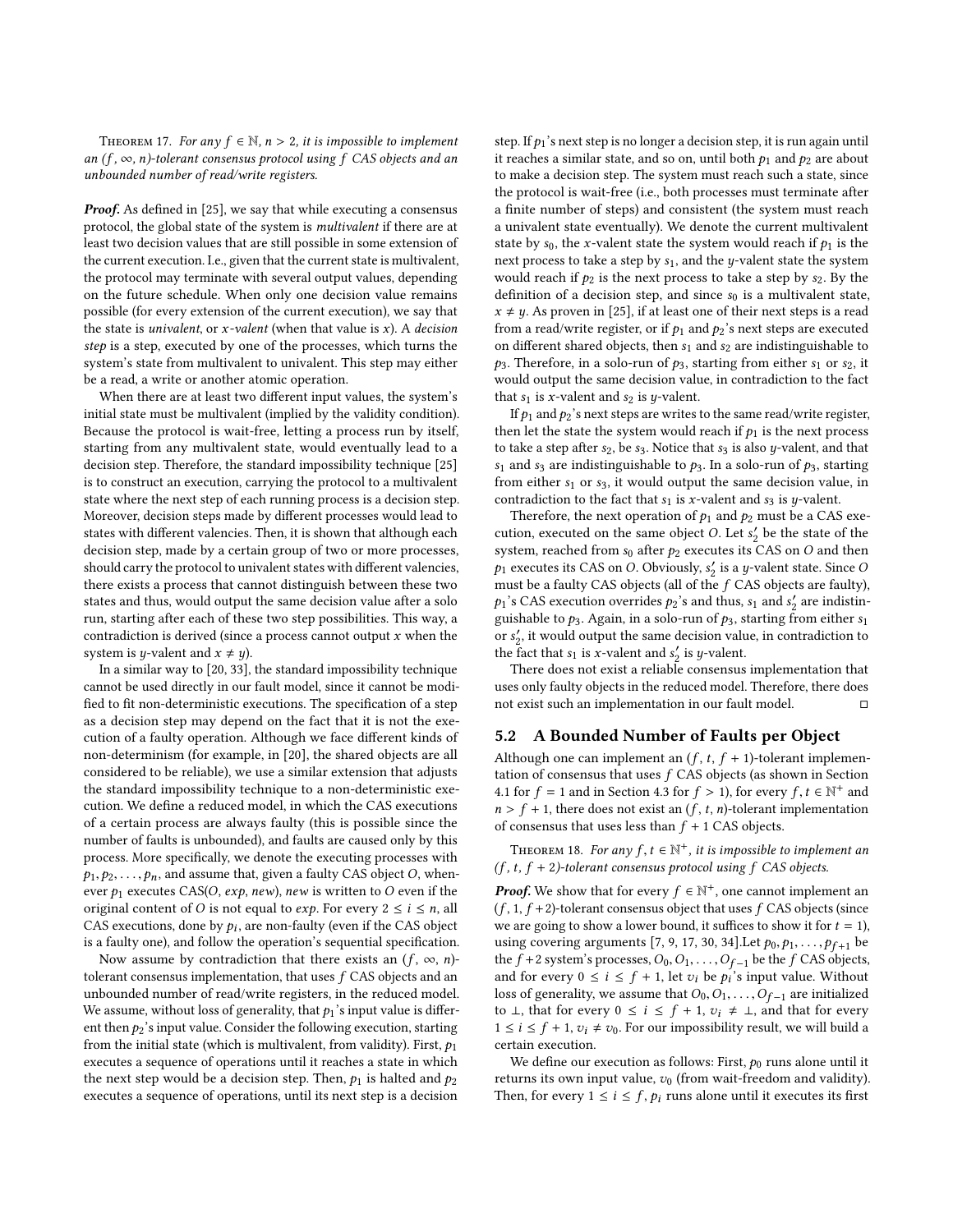THEOREM 17. For any  $f \in \mathbb{N}$ ,  $n > 2$ , it is impossible to implement an  $(f, \infty, n)$ -tolerant consensus protocol using f CAS objects and an unbounded number of read/write registers.

**Proof.** As defined in [\[25\]](#page-10-10), we say that while executing a consensus protocol, the global state of the system is multivalent if there are at least two decision values that are still possible in some extension of the current execution. I.e., given that the current state is multivalent, the protocol may terminate with several output values, depending on the future schedule. When only one decision value remains possible (for every extension of the current execution), we say that the state is *univalent*, or *x*-valent (when that value is *x*). A *decision* step is a step, executed by one of the processes, which turns the system's state from multivalent to univalent. This step may either be a read, a write or another atomic operation.

When there are at least two different input values, the system's initial state must be multivalent (implied by the validity condition). Because the protocol is wait-free, letting a process run by itself, starting from any multivalent state, would eventually lead to a decision step. Therefore, the standard impossibility technique [\[25\]](#page-10-10) is to construct an execution, carrying the protocol to a multivalent state where the next step of each running process is a decision step. Moreover, decision steps made by different processes would lead to states with different valencies. Then, it is shown that although each decision step, made by a certain group of two or more processes, should carry the protocol to univalent states with different valencies, there exists a process that cannot distinguish between these two states and thus, would output the same decision value after a solo run, starting after each of these two step possibilities. This way, a contradiction is derived (since a process cannot output  $x$  when the system is *y*-valent and  $x \neq y$ ).

In a similar way to [\[20,](#page-10-15) [33\]](#page-10-31), the standard impossibility technique cannot be used directly in our fault model, since it cannot be modified to fit non-deterministic executions. The specification of a step as a decision step may depend on the fact that it is not the execution of a faulty operation. Although we face different kinds of non-determinism (for example, in [\[20\]](#page-10-15), the shared objects are all considered to be reliable), we use a similar extension that adjusts the standard impossibility technique to a non-deterministic execution. We define a reduced model, in which the CAS executions of a certain process are always faulty (this is possible since the number of faults is unbounded), and faults are caused only by this process. More specifically, we denote the executing processes with  $p_1, p_2, \ldots, p_n$ , and assume that, given a faulty CAS object O, whenever  $p_1$  executes CAS(O, exp, new), new is written to O even if the original content of O is not equal to *exp*. For every  $2 \le i \le n$ , all CAS executions, done by  $p_i$ , are non-faulty (even if the CAS object<br>is a faulty one), and follow the operation's sequential specification is a faulty one), and follow the operation's sequential specification.

Now assume by contradiction that there exists an  $(f, \infty, n)$ tolerant consensus implementation, that uses  $f$  CAS objects and an unbounded number of read/write registers, in the reduced model. We assume, without loss of generality, that  $p_1$ 's input value is different then  $p_2$ 's input value. Consider the following execution, starting from the initial state (which is multivalent, from validity). First,  $p_1$ executes a sequence of operations until it reaches a state in which the next step would be a decision step. Then,  $p_1$  is halted and  $p_2$ executes a sequence of operations, until its next step is a decision

step. If  $p_1$ 's next step is no longer a decision step, it is run again until it reaches a similar state, and so on, until both  $p_1$  and  $p_2$  are about to make a decision step. The system must reach such a state, since the protocol is wait-free (i.e., both processes must terminate after a finite number of steps) and consistent (the system must reach a univalent state eventually). We denote the current multivalent state by  $s_0$ , the x-valent state the system would reach if  $p_1$  is the next process to take a step by  $s_1$ , and the y-valent state the system would reach if  $p_2$  is the next process to take a step by  $s_2$ . By the definition of a decision step, and since  $s_0$  is a multivalent state,  $x \neq y$ . As proven in [\[25\]](#page-10-10), if at least one of their next steps is a read from a read/write register, or if  $p_1$  and  $p_2$ 's next steps are executed on different shared objects, then  $s_1$  and  $s_2$  are indistinguishable to  $p_3$ . Therefore, in a solo-run of  $p_3$ , starting from either  $s_1$  or  $s_2$ , it would output the same decision value, in contradiction to the fact that  $s_1$  is x-valent and  $s_2$  is y-valent.

If  $p_1$  and  $p_2$ 's next steps are writes to the same read/write register, then let the state the system would reach if  $p_1$  is the next process to take a step after  $s_2$ , be  $s_3$ . Notice that  $s_3$  is also y-valent, and that  $s_1$  and  $s_3$  are indistinguishable to  $p_3$ . In a solo-run of  $p_3$ , starting from either  $s_1$  or  $s_3$ , it would output the same decision value, in contradiction to the fact that  $s_1$  is x-valent and  $s_3$  is y-valent.

Therefore, the next operation of  $p_1$  and  $p_2$  must be a CAS execution, executed on the same object O. Let  $s'_2$  be the state of the system reached from  $s_2$  after  $b_2$  executes its CAS on O and then system, reached from  $s_0$  after  $p_2$  executes its CAS on O and then  $p_1$  executes its CAS on O. Obviously,  $s'_2$  is a y-valent state. Since O<br>must be a faulty CAS objects (all of the f.CAS objects are faulty) must be a faulty CAS objects (all of the f CAS objects are faulty),  $p_1$ 's CAS execution overrides  $p_2$ 's and thus,  $s_1$  and  $s_2'$  are indistinguished to  $p_2$ . Again, in a solo-run of  $p_2$ , starting from either  $s_1$ . guishable to  $p_3$ . Again, in a solo-run of  $p_3$ , starting from either  $s_1$ or  $s'_2$ , it would output the same decision value, in contradiction to the fact that  $s_2$  is x-valent and  $s'$  is x-valent. the fact that  $s_1$  is x-valent and  $s'_2$  is y-valent.<br>There does not exist a reliable consensus

There does not exist a reliable consensus implementation that uses only faulty objects in the reduced model. Therefore, there does not exist such an implementation in our fault model.  $\hfill \Box$ 

## <span id="page-8-0"></span>5.2 A Bounded Number of Faults per Object

Although one can implement an  $(f, t, f + 1)$ -tolerant implementation of consensus that uses  $f$  CAS objects (as shown in Section [4.1](#page-4-2) for  $f = 1$  and in Section [4.3](#page-5-0) for  $f > 1$ ), for every  $f, t \in \mathbb{N}^+$  and  $n > f + 1$ , there does not exist an  $(f, t, n)$ -tolerant implementation  $n > f + 1$ , there does not exist an  $(f, t, n)$ -tolerant implementation of consensus that uses less than  $f + 1$  CAS objects.

THEOREM 18. For any  $f, t \in \mathbb{N}^+$ , it is impossible to implement an  $t, t+2$ , tolerant consensus protocol using  $f, CAS$  objects  $(f, t, f + 2)$ -tolerant consensus protocol using  $f$  CAS objects.

**Proof.** We show that for every  $f \in \mathbb{N}^+$ , one cannot implement an  $(f, 1, f+2)$ -tolerant consensus object that uses  $f \cap A S$  objects (since  $(f, 1, f+2)$ -tolerant consensus object that uses f CAS objects (since we are going to show a lower bound, it suffices to show it for  $t = 1$ ), using covering arguments [\[7,](#page-10-32) [9,](#page-10-33) [17,](#page-10-25) [30,](#page-10-34) [34\]](#page-10-27). Let  $p_0, p_1, \ldots, p_{f+1}$  be the  $\bar{f}$  +2 system's processes,  $O_0, O_1, \ldots, O_{\bar{f}-1}$  be the  $f$  CAS objects, and for every  $0 \le i \le f + 1$ , let  $v_i$  be  $p_i$ 's input value. Without loss of generality we assume that  $O_2$ ,  $O_3$ ,  $O_4$ , are initialized loss of generality, we assume that  $O_0, O_1, \ldots, O_{f-1}$  are initialized to ⊥, that for every  $0 \le i \le f + 1$ ,  $v_i \neq \bot$ , and that for every  $1 \leq i \leq f + 1$ ,  $v_i \neq v_0$ . For our impossibility result, we will build a certain execution.

We define our execution as follows: First,  $p_0$  runs alone until it returns its own input value,  $v_0$  (from wait-freedom and validity). Then, for every  $1 \le i \le f$ ,  $p_i$  runs alone until it executes its first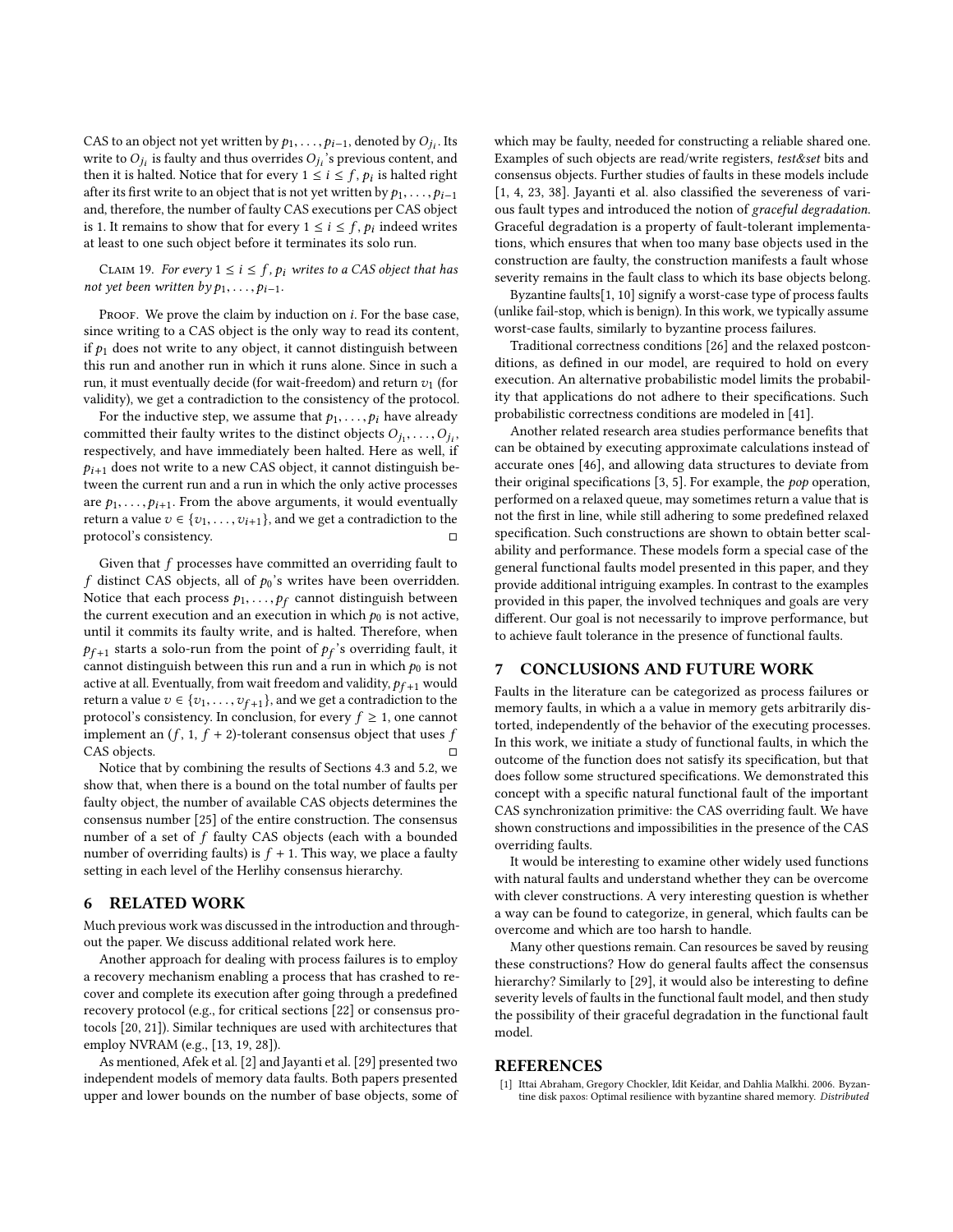CAS to an object not yet written by  $p_1, \ldots, p_{i-1}$ , denoted by  $O_{j_i}$ . Its<br>write to  $O_i$ , is foulty and thus overrides  $O_i$ , 's previous content, and write to  $O_{j_i}$  is faulty and thus overrides  $O_{j_i}$ 's previous content, and then it is halted Notice that for every  $1 \le i \le f$ , by is halted right then it is halted. Notice that for every  $1 \le i \le f$ ,  $p_i$  is halted right of the first write to an object that is not vet written by  $p_i$ after its first write to an object that is not yet written by  $p_1, \ldots, p_{i-1}$ and, therefore, the number of faulty CAS executions per CAS object is 1. It remains to show that for every  $1 \le i \le f$ ,  $p_i$  indeed writes at least to one such object before it terminates its solo run at least to one such object before it terminates its solo run.

CLAIM 19. For every  $1 \le i \le f$ ,  $p_i$  writes to a CAS object that has not yet been written by  $p_1, \ldots, p_{i-1}$ .

PROOF. We prove the claim by induction on  $i$ . For the base case, since writing to a CAS object is the only way to read its content, if  $p_1$  does not write to any object, it cannot distinguish between this run and another run in which it runs alone. Since in such a run, it must eventually decide (for wait-freedom) and return  $v_1$  (for validity), we get a contradiction to the consistency of the protocol.

For the inductive step, we assume that  $p_1, \ldots, p_i$  have already committed their faulty writes to the distinct objects  $O_{j_1}, \ldots, O_{j_t}$ <br>respectively and have immediately been halted. Here as well if  $\sum_{j_i}$ , ..., $\sum_{j_i}$ , ..., $\sum_{j_i}$ , ..., $\sum_{j_i}$ , ..., $\sum_{j_i}$ , ..., $\sum_{j_i}$  $p_{i+1}$  does not write to a new CAS object, it cannot distinguish between the current run and a run in which the only active processes are  $p_1, \ldots, p_{i+1}$ . From the above arguments, it would eventually return a value  $v \in \{v_1, \ldots, v_{i+1}\}$ , and we get a contradiction to the protocol's consistency protocol's consistency.

Given that  $f$  processes have committed an overriding fault to f distinct CAS objects, all of  $p_0$ 's writes have been overridden. Notice that each process  $p_1, \ldots, p_f$  cannot distinguish between<br>the current execution and an execution in which  $p_0$  is not active the current execution and an execution in which  $p_0$  is not active, until it commits its faulty write, and is halted. Therefore, when  $p_{f+1}$  starts a solo-run from the point of  $p_f$ 's overriding fault, it cannot distinguish between this run and a run in which to is not cannot distinguish between this run and a run in which  $p_0$  is not active at all. Eventually, from wait freedom and validity,  $p_{f+1}$  would return a value  $v \in \{v_1, \ldots, v_{f+1}\}$ , and we get a contradiction to the protocol's consistency. In conclusion, for every  $f \ge 1$  one cannot protocol's consistency. In conclusion, for every  $f \geq 1$ , one cannot implement an  $(f, 1, f + 2)$ -tolerant consensus object that uses  $f$ <br>CAS objects CAS objects.

Notice that by combining the results of Sections [4.3](#page-5-0) and [5.2,](#page-8-0) we show that, when there is a bound on the total number of faults per faulty object, the number of available CAS objects determines the consensus number [\[25\]](#page-10-10) of the entire construction. The consensus number of a set of f faulty CAS objects (each with a bounded number of overriding faults) is  $f + 1$ . This way, we place a faulty setting in each level of the Herlihy consensus hierarchy.

## <span id="page-9-0"></span>6 RELATED WORK

Much previous work was discussed in the introduction and throughout the paper. We discuss additional related work here.

Another approach for dealing with process failures is to employ a recovery mechanism enabling a process that has crashed to recover and complete its execution after going through a predefined recovery protocol (e.g., for critical sections [\[22\]](#page-10-16) or consensus protocols [\[20,](#page-10-15) [21\]](#page-10-35)). Similar techniques are used with architectures that employ NVRAM (e.g., [\[13,](#page-10-36) [19,](#page-10-37) [28\]](#page-10-38)).

As mentioned, Afek et al. [\[2\]](#page-10-19) and Jayanti et al. [\[29\]](#page-10-18) presented two independent models of memory data faults. Both papers presented upper and lower bounds on the number of base objects, some of which may be faulty, needed for constructing a reliable shared one. Examples of such objects are read/write registers, test&set bits and consensus objects. Further studies of faults in these models include [\[1,](#page-9-2) [4,](#page-10-39) [23,](#page-10-40) [38\]](#page-10-41). Jayanti et al. also classified the severeness of various fault types and introduced the notion of graceful degradation. Graceful degradation is a property of fault-tolerant implementations, which ensures that when too many base objects used in the construction are faulty, the construction manifests a fault whose severity remains in the fault class to which its base objects belong.

Byzantine faults[\[1,](#page-9-2) [10\]](#page-10-23) signify a worst-case type of process faults (unlike fail-stop, which is benign). In this work, we typically assume worst-case faults, similarly to byzantine process failures.

Traditional correctness conditions [\[26\]](#page-10-28) and the relaxed postconditions, as defined in our model, are required to hold on every execution. An alternative probabilistic model limits the probability that applications do not adhere to their specifications. Such probabilistic correctness conditions are modeled in [\[41\]](#page-10-42).

Another related research area studies performance benefits that can be obtained by executing approximate calculations instead of accurate ones [\[46\]](#page-10-43), and allowing data structures to deviate from their original specifications [\[3,](#page-10-44) [5\]](#page-10-45). For example, the pop operation, performed on a relaxed queue, may sometimes return a value that is not the first in line, while still adhering to some predefined relaxed specification. Such constructions are shown to obtain better scalability and performance. These models form a special case of the general functional faults model presented in this paper, and they provide additional intriguing examples. In contrast to the examples provided in this paper, the involved techniques and goals are very different. Our goal is not necessarily to improve performance, but to achieve fault tolerance in the presence of functional faults.

#### <span id="page-9-1"></span>7 CONCLUSIONS AND FUTURE WORK

Faults in the literature can be categorized as process failures or memory faults, in which a a value in memory gets arbitrarily distorted, independently of the behavior of the executing processes. In this work, we initiate a study of functional faults, in which the outcome of the function does not satisfy its specification, but that does follow some structured specifications. We demonstrated this concept with a specific natural functional fault of the important CAS synchronization primitive: the CAS overriding fault. We have shown constructions and impossibilities in the presence of the CAS overriding faults.

It would be interesting to examine other widely used functions with natural faults and understand whether they can be overcome with clever constructions. A very interesting question is whether a way can be found to categorize, in general, which faults can be overcome and which are too harsh to handle.

Many other questions remain. Can resources be saved by reusing these constructions? How do general faults affect the consensus hierarchy? Similarly to [\[29\]](#page-10-18), it would also be interesting to define severity levels of faults in the functional fault model, and then study the possibility of their graceful degradation in the functional fault model.

#### REFERENCES

<span id="page-9-2"></span>Ittai Abraham, Gregory Chockler, Idit Keidar, and Dahlia Malkhi. 2006. Byzantine disk paxos: Optimal resilience with byzantine shared memory. Distributed